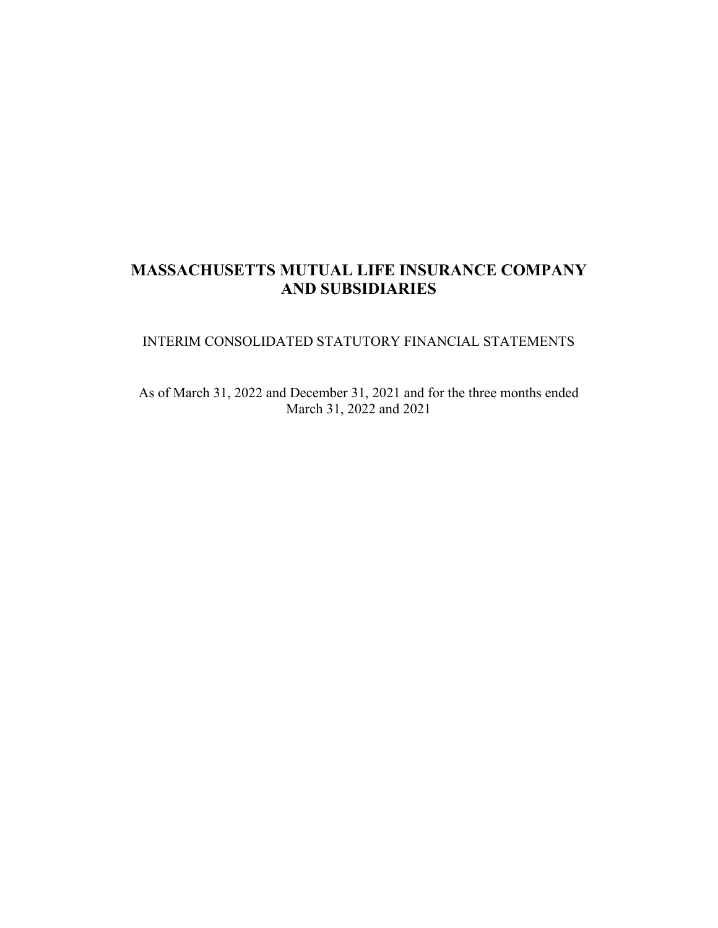# **MASSACHUSETTS MUTUAL LIFE INSURANCE COMPANY AND SUBSIDIARIES**

# INTERIM CONSOLIDATED STATUTORY FINANCIAL STATEMENTS

As of March 31, 2022 and December 31, 2021 and for the three months ended March 31, 2022 and 2021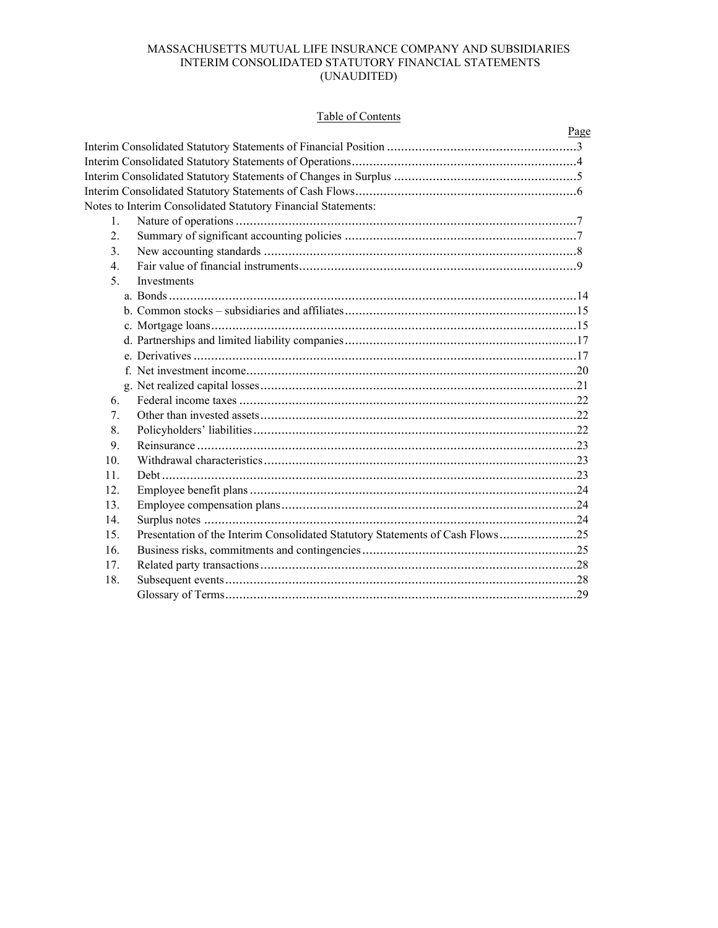# Table of Contents

|                  |                                                                               | Page |
|------------------|-------------------------------------------------------------------------------|------|
|                  |                                                                               |      |
|                  |                                                                               |      |
|                  |                                                                               |      |
|                  |                                                                               |      |
|                  | Notes to Interim Consolidated Statutory Financial Statements:                 |      |
| $\mathbf{1}$ .   |                                                                               |      |
| 2.               |                                                                               |      |
| 3.               |                                                                               |      |
| $\overline{4}$ . |                                                                               |      |
| 5 <sub>1</sub>   | Investments                                                                   |      |
|                  |                                                                               |      |
|                  |                                                                               |      |
|                  |                                                                               |      |
|                  |                                                                               |      |
|                  |                                                                               |      |
|                  |                                                                               |      |
|                  |                                                                               |      |
| 6.               |                                                                               |      |
| 7.               |                                                                               |      |
| 8.               |                                                                               |      |
| 9.               |                                                                               |      |
| 10.              |                                                                               |      |
| 11.              |                                                                               |      |
| 12.              |                                                                               |      |
| 13.              |                                                                               |      |
| 14.              |                                                                               |      |
| 15.              | Presentation of the Interim Consolidated Statutory Statements of Cash Flows25 |      |
| 16.              |                                                                               |      |
| 17.              |                                                                               |      |
| 18.              |                                                                               |      |
|                  |                                                                               |      |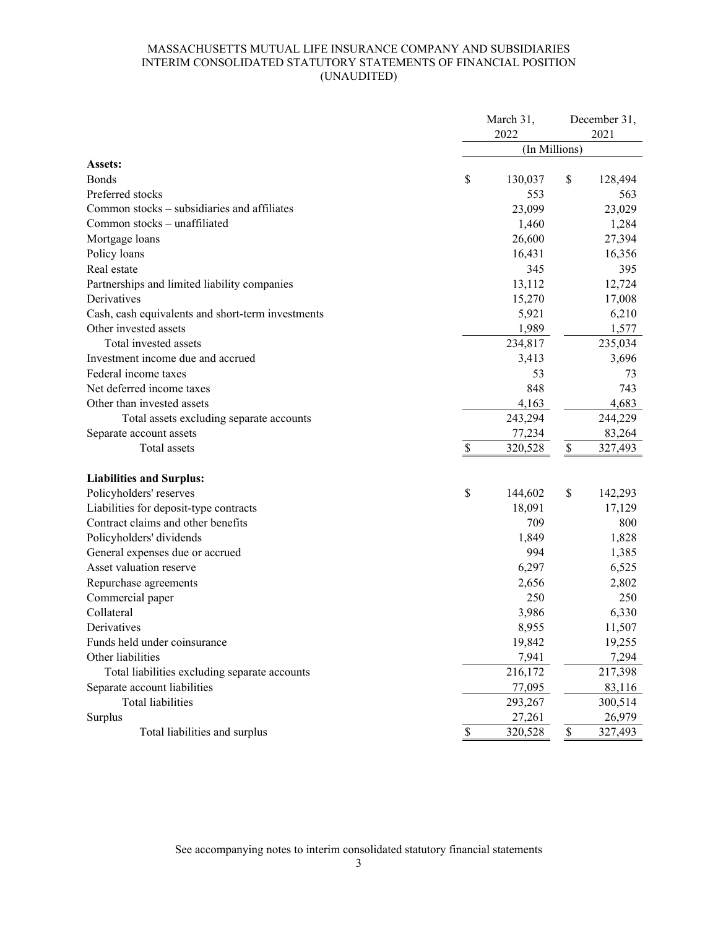# MASSACHUSETTS MUTUAL LIFE INSURANCE COMPANY AND SUBSIDIARIES INTERIM CONSOLIDATED STATUTORY STATEMENTS OF FINANCIAL POSITION (UNAUDITED)

|                                                   |              | March 31,<br>2022 |      | December 31,<br>2021 |
|---------------------------------------------------|--------------|-------------------|------|----------------------|
|                                                   |              | (In Millions)     |      |                      |
| Assets:                                           |              |                   |      |                      |
| <b>Bonds</b>                                      | \$           | 130,037           | \$   | 128,494              |
| Preferred stocks                                  |              | 553               |      | 563                  |
| Common stocks – subsidiaries and affiliates       |              | 23,099            |      | 23,029               |
| Common stocks - unaffiliated                      |              | 1,460             |      | 1,284                |
| Mortgage loans                                    |              | 26,600            |      | 27,394               |
| Policy loans                                      |              | 16,431            |      | 16,356               |
| Real estate                                       |              | 345               |      | 395                  |
| Partnerships and limited liability companies      |              | 13,112            |      | 12,724               |
| Derivatives                                       |              | 15,270            |      | 17,008               |
| Cash, cash equivalents and short-term investments |              | 5,921             |      | 6,210                |
| Other invested assets                             |              | 1,989             |      | 1,577                |
| Total invested assets                             |              | 234,817           |      | 235,034              |
| Investment income due and accrued                 |              | 3,413             |      | 3,696                |
| Federal income taxes                              |              | 53                |      | 73                   |
| Net deferred income taxes                         |              | 848               |      | 743                  |
| Other than invested assets                        |              | 4,163             |      | 4,683                |
| Total assets excluding separate accounts          |              | 243,294           |      | 244,229              |
| Separate account assets                           |              | 77,234            |      | 83,264               |
| Total assets                                      | \$           | 320,528           | \$   | 327,493              |
|                                                   |              |                   |      |                      |
| <b>Liabilities and Surplus:</b>                   |              |                   |      |                      |
| Policyholders' reserves                           | \$           | 144,602           | \$   | 142,293              |
| Liabilities for deposit-type contracts            |              | 18,091            |      | 17,129               |
| Contract claims and other benefits                |              | 709               |      | 800                  |
| Policyholders' dividends                          |              | 1,849             |      | 1,828                |
| General expenses due or accrued                   |              | 994               |      | 1,385                |
| Asset valuation reserve                           |              | 6,297             |      | 6,525                |
| Repurchase agreements                             |              | 2,656             |      | 2,802                |
| Commercial paper                                  |              | 250               |      | 250                  |
| Collateral                                        |              | 3,986             |      | 6,330                |
| Derivatives                                       |              | 8,955             |      | 11,507               |
| Funds held under coinsurance                      |              | 19,842            |      | 19,255               |
| Other liabilities                                 |              | 7,941             |      | 7,294                |
| Total liabilities excluding separate accounts     |              | 216,172           |      | 217,398              |
| Separate account liabilities                      |              | 77,095            |      | 83,116               |
| <b>Total liabilities</b>                          |              | 293,267           |      | 300,514              |
| Surplus                                           |              | 27,261            |      | 26,979               |
| Total liabilities and surplus                     | $\mathbb{S}$ | 320,528           | $\$$ | 327,493              |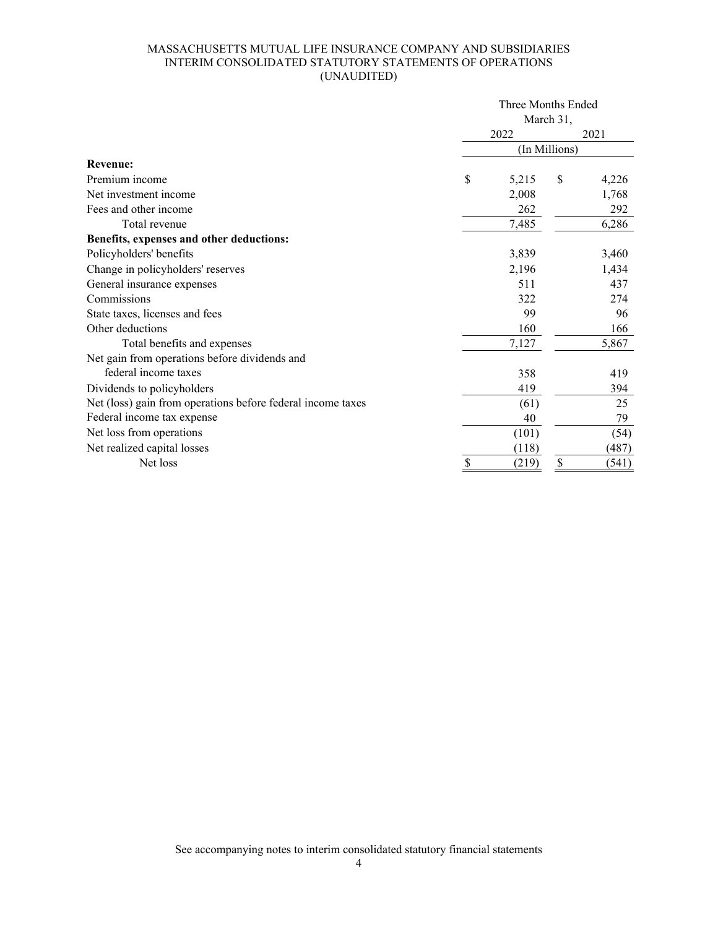# MASSACHUSETTS MUTUAL LIFE INSURANCE COMPANY AND SUBSIDIARIES INTERIM CONSOLIDATED STATUTORY STATEMENTS OF OPERATIONS (UNAUDITED)

|                                                             | Three Months Ended<br>March 31, |       |               |       |  |  |  |  |  |  |
|-------------------------------------------------------------|---------------------------------|-------|---------------|-------|--|--|--|--|--|--|
|                                                             |                                 |       |               |       |  |  |  |  |  |  |
|                                                             |                                 | 2022  |               | 2021  |  |  |  |  |  |  |
|                                                             |                                 |       | (In Millions) |       |  |  |  |  |  |  |
| <b>Revenue:</b>                                             |                                 |       |               |       |  |  |  |  |  |  |
| Premium income                                              | \$                              | 5,215 | \$            | 4,226 |  |  |  |  |  |  |
| Net investment income                                       |                                 | 2,008 |               | 1,768 |  |  |  |  |  |  |
| Fees and other income                                       |                                 | 262   |               | 292   |  |  |  |  |  |  |
| Total revenue                                               |                                 | 7,485 |               | 6,286 |  |  |  |  |  |  |
| Benefits, expenses and other deductions:                    |                                 |       |               |       |  |  |  |  |  |  |
| Policyholders' benefits                                     |                                 | 3,839 |               | 3,460 |  |  |  |  |  |  |
| Change in policyholders' reserves                           |                                 | 2,196 |               | 1,434 |  |  |  |  |  |  |
| General insurance expenses                                  |                                 | 511   |               | 437   |  |  |  |  |  |  |
| Commissions                                                 |                                 | 322   |               | 274   |  |  |  |  |  |  |
| State taxes, licenses and fees                              |                                 | 99    |               | 96    |  |  |  |  |  |  |
| Other deductions                                            |                                 | 160   |               | 166   |  |  |  |  |  |  |
| Total benefits and expenses                                 |                                 | 7,127 |               | 5,867 |  |  |  |  |  |  |
| Net gain from operations before dividends and               |                                 |       |               |       |  |  |  |  |  |  |
| federal income taxes                                        |                                 | 358   |               | 419   |  |  |  |  |  |  |
| Dividends to policyholders                                  |                                 | 419   |               | 394   |  |  |  |  |  |  |
| Net (loss) gain from operations before federal income taxes |                                 | (61)  |               | 25    |  |  |  |  |  |  |
| Federal income tax expense                                  |                                 | 40    |               | 79    |  |  |  |  |  |  |
| Net loss from operations                                    |                                 | (101) |               | (54)  |  |  |  |  |  |  |
| Net realized capital losses                                 |                                 | (118) |               | (487) |  |  |  |  |  |  |
| Net loss                                                    | \$                              | (219) | \$            | (541) |  |  |  |  |  |  |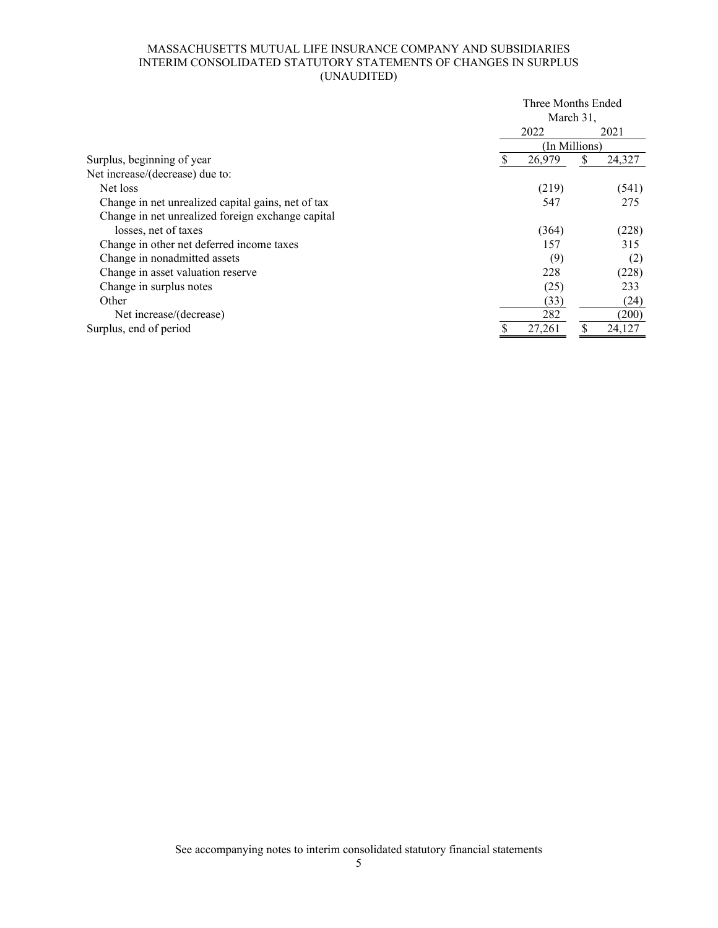# MASSACHUSETTS MUTUAL LIFE INSURANCE COMPANY AND SUBSIDIARIES INTERIM CONSOLIDATED STATUTORY STATEMENTS OF CHANGES IN SURPLUS (UNAUDITED)

|                                                    | Three Months Ended |           |        |
|----------------------------------------------------|--------------------|-----------|--------|
|                                                    |                    | March 31, |        |
|                                                    | 2022               |           | 2021   |
|                                                    | (In Millions)      |           |        |
| Surplus, beginning of year                         | 26,979             | S         | 24,327 |
| Net increase/(decrease) due to:                    |                    |           |        |
| Net loss                                           | (219)              |           | (541)  |
| Change in net unrealized capital gains, net of tax | 547                |           | 275    |
| Change in net unrealized foreign exchange capital  |                    |           |        |
| losses, net of taxes                               | (364)              |           | (228)  |
| Change in other net deferred income taxes          | 157                |           | 315    |
| Change in nonadmitted assets                       | (9)                |           | (2)    |
| Change in asset valuation reserve                  | 228                |           | (228)  |
| Change in surplus notes                            | (25)               |           | 233    |
| Other                                              | (33)               |           | (24)   |
| Net increase/(decrease)                            | 282                |           | (200)  |
| Surplus, end of period                             | 27,261             |           | 24,127 |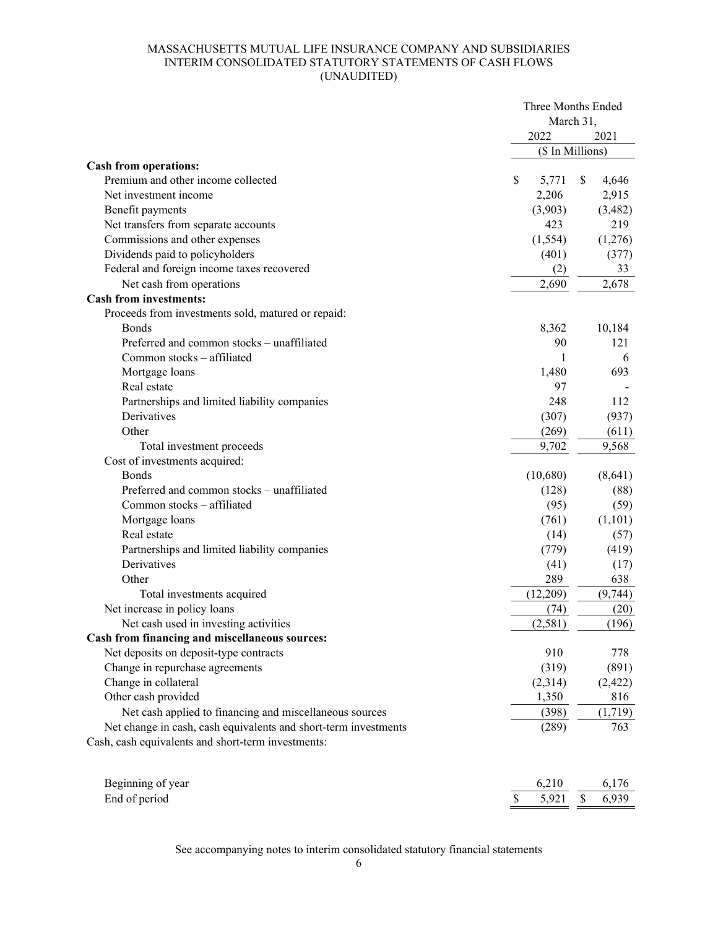# MASSACHUSETTS MUTUAL LIFE INSURANCE COMPANY AND SUBSIDIARIES INTERIM CONSOLIDATED STATUTORY STATEMENTS OF CASH FLOWS (UNAUDITED)

|                                                                 | Three Months Ended |             |
|-----------------------------------------------------------------|--------------------|-------------|
|                                                                 | March 31,<br>2022  |             |
|                                                                 | (\$ In Millions)   | 2021        |
| <b>Cash from operations:</b>                                    |                    |             |
| Premium and other income collected                              | \$<br>5,771        | \$<br>4,646 |
| Net investment income                                           | 2,206              | 2,915       |
| Benefit payments                                                | (3,903)            | (3,482)     |
| Net transfers from separate accounts                            | 423                | 219         |
| Commissions and other expenses                                  | (1, 554)           | (1,276)     |
| Dividends paid to policyholders                                 | (401)              | (377)       |
| Federal and foreign income taxes recovered                      | (2)                | 33          |
| Net cash from operations                                        | 2,690              | 2,678       |
| <b>Cash from investments:</b>                                   |                    |             |
| Proceeds from investments sold, matured or repaid:              |                    |             |
| <b>B</b> onds                                                   | 8,362              | 10,184      |
| Preferred and common stocks - unaffiliated                      | 90                 | 121         |
| Common stocks - affiliated                                      | 1                  | 6           |
| Mortgage loans                                                  | 1,480              | 693         |
| Real estate                                                     | 97                 |             |
| Partnerships and limited liability companies                    | 248                | 112         |
| Derivatives                                                     | (307)              | (937)       |
| Other                                                           | (269)              | (611)       |
| Total investment proceeds                                       | 9,702              | 9,568       |
| Cost of investments acquired:                                   |                    |             |
| <b>Bonds</b>                                                    | (10,680)           | (8,641)     |
| Preferred and common stocks - unaffiliated                      | (128)              | (88)        |
| Common stocks - affiliated                                      | (95)               | (59)        |
| Mortgage loans                                                  | (761)              | (1,101)     |
| Real estate                                                     | (14)               | (57)        |
| Partnerships and limited liability companies                    | (779)              | (419)       |
| Derivatives                                                     | (41)               | (17)        |
| Other                                                           | 289                | 638         |
| Total investments acquired                                      | (12,209)           | (9,744)     |
| Net increase in policy loans                                    | (74)               | (20)        |
| Net cash used in investing activities                           | (2, 581)           | (196)       |
| Cash from financing and miscellaneous sources:                  |                    |             |
| Net deposits on deposit-type contracts                          | 910                | 778         |
| Change in repurchase agreements                                 | (319)              | (891)       |
| Change in collateral                                            | (2,314)            | (2, 422)    |
| Other cash provided                                             | 1,350              | 816         |
| Net cash applied to financing and miscellaneous sources         | (398)              | (1,719)     |
| Net change in cash, cash equivalents and short-term investments | (289)              | 763         |
| Cash, cash equivalents and short-term investments:              |                    |             |
| Beginning of year                                               | 6,210              | 6,176       |
| End of period                                                   | \$<br>5,921        | \$<br>6,939 |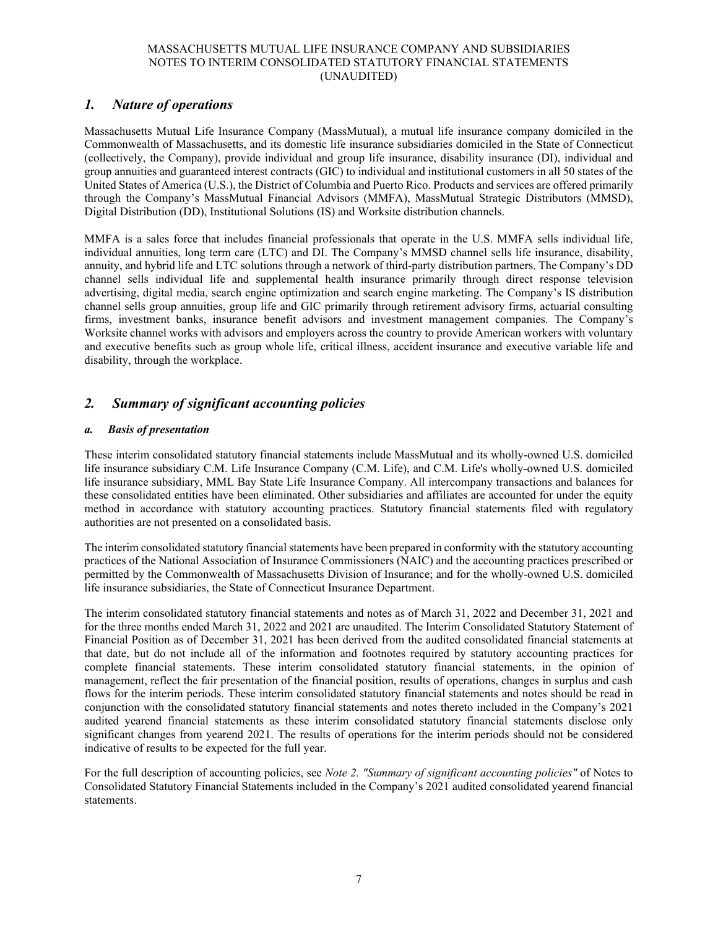# *1. Nature of operations*

Massachusetts Mutual Life Insurance Company (MassMutual), a mutual life insurance company domiciled in the Commonwealth of Massachusetts, and its domestic life insurance subsidiaries domiciled in the State of Connecticut (collectively, the Company), provide individual and group life insurance, disability insurance (DI), individual and group annuities and guaranteed interest contracts (GIC) to individual and institutional customers in all 50 states of the United States of America (U.S.), the District of Columbia and Puerto Rico. Products and services are offered primarily through the Company's MassMutual Financial Advisors (MMFA), MassMutual Strategic Distributors (MMSD), Digital Distribution (DD), Institutional Solutions (IS) and Worksite distribution channels.

MMFA is a sales force that includes financial professionals that operate in the U.S. MMFA sells individual life, individual annuities, long term care (LTC) and DI. The Company's MMSD channel sells life insurance, disability, annuity, and hybrid life and LTC solutions through a network of third-party distribution partners. The Company's DD channel sells individual life and supplemental health insurance primarily through direct response television advertising, digital media, search engine optimization and search engine marketing. The Company's IS distribution channel sells group annuities, group life and GIC primarily through retirement advisory firms, actuarial consulting firms, investment banks, insurance benefit advisors and investment management companies. The Company's Worksite channel works with advisors and employers across the country to provide American workers with voluntary and executive benefits such as group whole life, critical illness, accident insurance and executive variable life and disability, through the workplace.

# *2. Summary of significant accounting policies*

### *a. Basis of presentation*

These interim consolidated statutory financial statements include MassMutual and its wholly-owned U.S. domiciled life insurance subsidiary C.M. Life Insurance Company (C.M. Life), and C.M. Life's wholly-owned U.S. domiciled life insurance subsidiary, MML Bay State Life Insurance Company. All intercompany transactions and balances for these consolidated entities have been eliminated. Other subsidiaries and affiliates are accounted for under the equity method in accordance with statutory accounting practices. Statutory financial statements filed with regulatory authorities are not presented on a consolidated basis.

The interim consolidated statutory financial statements have been prepared in conformity with the statutory accounting practices of the National Association of Insurance Commissioners (NAIC) and the accounting practices prescribed or permitted by the Commonwealth of Massachusetts Division of Insurance; and for the wholly-owned U.S. domiciled life insurance subsidiaries, the State of Connecticut Insurance Department.

The interim consolidated statutory financial statements and notes as of March 31, 2022 and December 31, 2021 and for the three months ended March 31, 2022 and 2021 are unaudited. The Interim Consolidated Statutory Statement of Financial Position as of December 31, 2021 has been derived from the audited consolidated financial statements at that date, but do not include all of the information and footnotes required by statutory accounting practices for complete financial statements. These interim consolidated statutory financial statements, in the opinion of management, reflect the fair presentation of the financial position, results of operations, changes in surplus and cash flows for the interim periods. These interim consolidated statutory financial statements and notes should be read in conjunction with the consolidated statutory financial statements and notes thereto included in the Company's 2021 audited yearend financial statements as these interim consolidated statutory financial statements disclose only significant changes from yearend 2021. The results of operations for the interim periods should not be considered indicative of results to be expected for the full year.

For the full description of accounting policies, see *Note 2. "Summary of significant accounting policies"* of Notes to Consolidated Statutory Financial Statements included in the Company's 2021 audited consolidated yearend financial statements.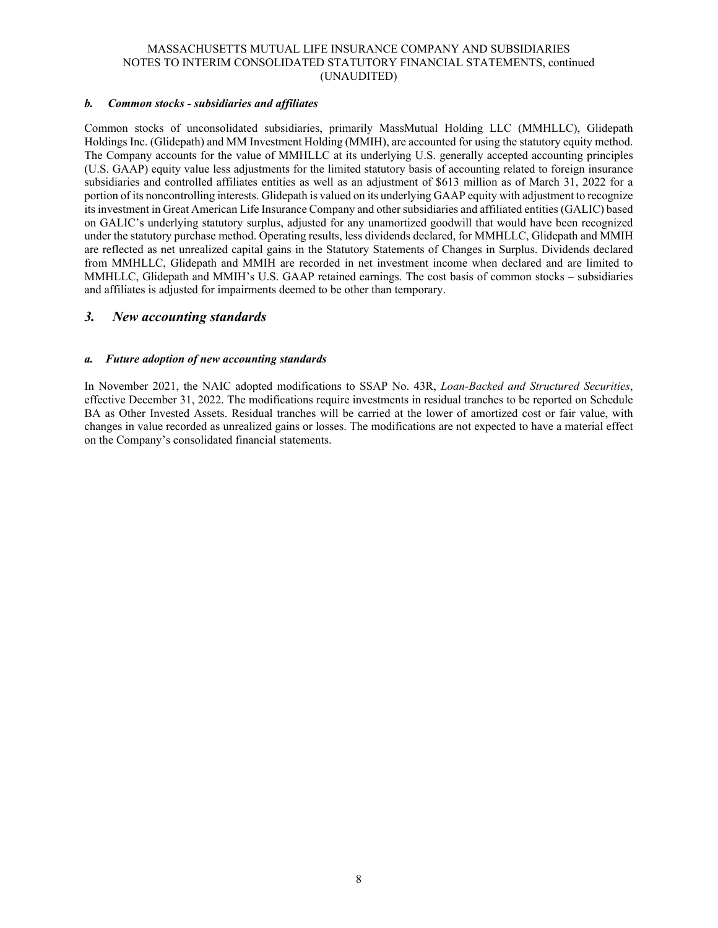### *b. Common stocks - subsidiaries and affiliates*

Common stocks of unconsolidated subsidiaries, primarily MassMutual Holding LLC (MMHLLC), Glidepath Holdings Inc. (Glidepath) and MM Investment Holding (MMIH), are accounted for using the statutory equity method. The Company accounts for the value of MMHLLC at its underlying U.S. generally accepted accounting principles (U.S. GAAP) equity value less adjustments for the limited statutory basis of accounting related to foreign insurance subsidiaries and controlled affiliates entities as well as an adjustment of \$613 million as of March 31, 2022 for a portion of its noncontrolling interests. Glidepath is valued on its underlying GAAP equity with adjustment to recognize its investment in Great American Life Insurance Company and other subsidiaries and affiliated entities (GALIC) based on GALIC's underlying statutory surplus, adjusted for any unamortized goodwill that would have been recognized under the statutory purchase method. Operating results, less dividends declared, for MMHLLC, Glidepath and MMIH are reflected as net unrealized capital gains in the Statutory Statements of Changes in Surplus. Dividends declared from MMHLLC, Glidepath and MMIH are recorded in net investment income when declared and are limited to MMHLLC, Glidepath and MMIH's U.S. GAAP retained earnings. The cost basis of common stocks – subsidiaries and affiliates is adjusted for impairments deemed to be other than temporary.

# *3. New accounting standards*

#### *a. Future adoption of new accounting standards*

In November 2021, the NAIC adopted modifications to SSAP No. 43R, *Loan-Backed and Structured Securities*, effective December 31, 2022. The modifications require investments in residual tranches to be reported on Schedule BA as Other Invested Assets. Residual tranches will be carried at the lower of amortized cost or fair value, with changes in value recorded as unrealized gains or losses. The modifications are not expected to have a material effect on the Company's consolidated financial statements.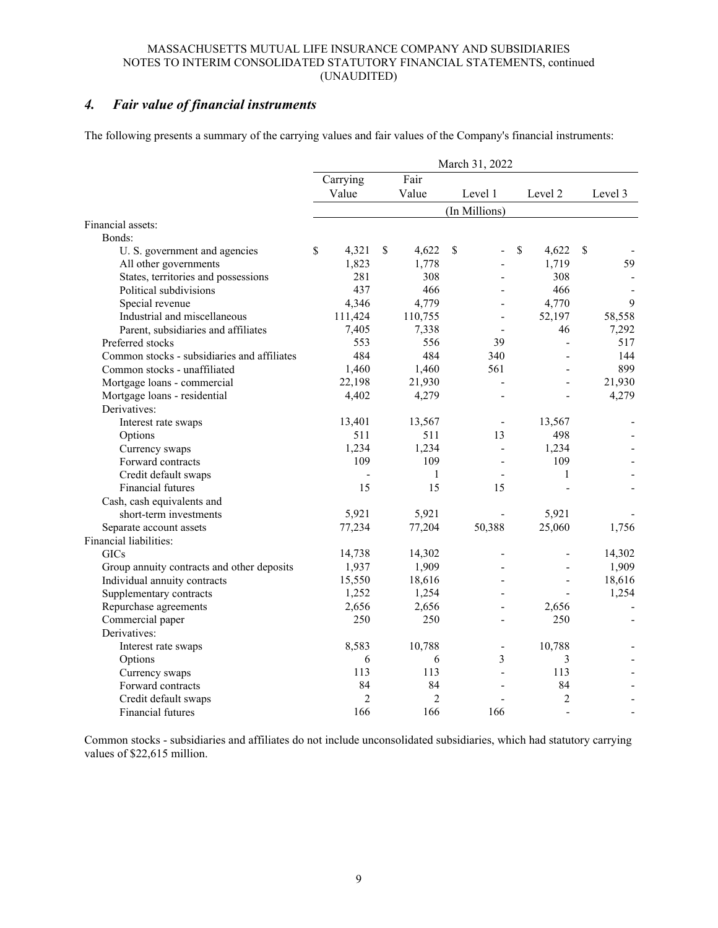# *4. Fair value of financial instruments*

The following presents a summary of the carrying values and fair values of the Company's financial instruments:

| Fair<br>Carrying<br>Value<br>Value<br>Level 1<br>Level 2<br>Level 3<br>(In Millions)<br>Bonds:<br>\$<br>\$<br>\$<br>\$<br>\$<br>4,321<br>4,622<br>4,622<br>U. S. government and agencies<br>1,823<br>1,719<br>59<br>All other governments<br>1,778<br>281<br>308<br>308<br>States, territories and possessions<br>437<br>466<br>466<br>Political subdivisions<br>4,346<br>4,779<br>4,770<br>9<br>Special revenue<br>111,424<br>58,558<br>Industrial and miscellaneous<br>110,755<br>52,197<br>$\blacksquare$<br>7,405<br>7,292<br>Parent, subsidiaries and affiliates<br>7,338<br>46<br>Preferred stocks<br>553<br>556<br>39<br>517<br>$\blacksquare$<br>484<br>484<br>Common stocks - subsidiaries and affiliates<br>340<br>144<br>899<br>1,460<br>561<br>Common stocks - unaffiliated<br>1,460<br>21,930<br>22,198<br>21,930<br>Mortgage loans - commercial<br>4,279<br>Mortgage loans - residential<br>4,402<br>4,279<br>Derivatives:<br>13,401<br>13,567<br>13,567<br>Interest rate swaps<br>$\overline{\phantom{a}}$<br>511<br>511<br>13<br>498<br>Options<br>1,234<br>1,234<br>1,234<br>Currency swaps<br>$\overline{a}$<br>109<br>Forward contracts<br>109<br>109<br>$\mathbf{1}$<br>Credit default swaps<br>1<br>$\overline{\phantom{a}}$<br>15<br>15<br>Financial futures<br>15<br>Cash, cash equivalents and<br>5,921<br>5,921<br>5,921<br>short-term investments<br>50,388<br>25,060<br>77,234<br>77,204<br>1,756<br>Separate account assets<br>Financial liabilities:<br>14,302<br><b>GICs</b><br>14,738<br>14,302<br>$\overline{\phantom{a}}$<br>1,909<br>1,937<br>1,909<br>Group annuity contracts and other deposits<br>Individual annuity contracts<br>15,550<br>18,616<br>18,616<br>$\blacksquare$<br>Supplementary contracts<br>1,252<br>1,254<br>1,254<br>$\blacksquare$<br>2,656<br>Repurchase agreements<br>2,656<br>2,656<br>$\overline{a}$<br>250<br>250<br>250<br>Commercial paper<br>$\overline{a}$<br>Derivatives:<br>8,583<br>10,788<br>10,788<br>Interest rate swaps<br>$\overline{\phantom{a}}$<br>3<br>6<br>6<br>3<br>Options<br>113<br>113<br>113<br>Currency swaps<br>84<br>84<br>84<br>Forward contracts<br>$\overline{2}$<br>$\overline{c}$<br>$\overline{c}$<br>Credit default swaps<br>166<br>166<br>166<br>Financial futures<br>$\sim$ |                   | March 31, 2022 |  |  |  |  |  |  |  |  |  |  |  |
|-----------------------------------------------------------------------------------------------------------------------------------------------------------------------------------------------------------------------------------------------------------------------------------------------------------------------------------------------------------------------------------------------------------------------------------------------------------------------------------------------------------------------------------------------------------------------------------------------------------------------------------------------------------------------------------------------------------------------------------------------------------------------------------------------------------------------------------------------------------------------------------------------------------------------------------------------------------------------------------------------------------------------------------------------------------------------------------------------------------------------------------------------------------------------------------------------------------------------------------------------------------------------------------------------------------------------------------------------------------------------------------------------------------------------------------------------------------------------------------------------------------------------------------------------------------------------------------------------------------------------------------------------------------------------------------------------------------------------------------------------------------------------------------------------------------------------------------------------------------------------------------------------------------------------------------------------------------------------------------------------------------------------------------------------------------------------------------------------------------------------------------------------------------------------------------------------------------------------------------------------------------------------------|-------------------|----------------|--|--|--|--|--|--|--|--|--|--|--|
|                                                                                                                                                                                                                                                                                                                                                                                                                                                                                                                                                                                                                                                                                                                                                                                                                                                                                                                                                                                                                                                                                                                                                                                                                                                                                                                                                                                                                                                                                                                                                                                                                                                                                                                                                                                                                                                                                                                                                                                                                                                                                                                                                                                                                                                                             |                   |                |  |  |  |  |  |  |  |  |  |  |  |
|                                                                                                                                                                                                                                                                                                                                                                                                                                                                                                                                                                                                                                                                                                                                                                                                                                                                                                                                                                                                                                                                                                                                                                                                                                                                                                                                                                                                                                                                                                                                                                                                                                                                                                                                                                                                                                                                                                                                                                                                                                                                                                                                                                                                                                                                             |                   |                |  |  |  |  |  |  |  |  |  |  |  |
|                                                                                                                                                                                                                                                                                                                                                                                                                                                                                                                                                                                                                                                                                                                                                                                                                                                                                                                                                                                                                                                                                                                                                                                                                                                                                                                                                                                                                                                                                                                                                                                                                                                                                                                                                                                                                                                                                                                                                                                                                                                                                                                                                                                                                                                                             |                   |                |  |  |  |  |  |  |  |  |  |  |  |
|                                                                                                                                                                                                                                                                                                                                                                                                                                                                                                                                                                                                                                                                                                                                                                                                                                                                                                                                                                                                                                                                                                                                                                                                                                                                                                                                                                                                                                                                                                                                                                                                                                                                                                                                                                                                                                                                                                                                                                                                                                                                                                                                                                                                                                                                             | Financial assets: |                |  |  |  |  |  |  |  |  |  |  |  |
|                                                                                                                                                                                                                                                                                                                                                                                                                                                                                                                                                                                                                                                                                                                                                                                                                                                                                                                                                                                                                                                                                                                                                                                                                                                                                                                                                                                                                                                                                                                                                                                                                                                                                                                                                                                                                                                                                                                                                                                                                                                                                                                                                                                                                                                                             |                   |                |  |  |  |  |  |  |  |  |  |  |  |
|                                                                                                                                                                                                                                                                                                                                                                                                                                                                                                                                                                                                                                                                                                                                                                                                                                                                                                                                                                                                                                                                                                                                                                                                                                                                                                                                                                                                                                                                                                                                                                                                                                                                                                                                                                                                                                                                                                                                                                                                                                                                                                                                                                                                                                                                             |                   |                |  |  |  |  |  |  |  |  |  |  |  |
|                                                                                                                                                                                                                                                                                                                                                                                                                                                                                                                                                                                                                                                                                                                                                                                                                                                                                                                                                                                                                                                                                                                                                                                                                                                                                                                                                                                                                                                                                                                                                                                                                                                                                                                                                                                                                                                                                                                                                                                                                                                                                                                                                                                                                                                                             |                   |                |  |  |  |  |  |  |  |  |  |  |  |
|                                                                                                                                                                                                                                                                                                                                                                                                                                                                                                                                                                                                                                                                                                                                                                                                                                                                                                                                                                                                                                                                                                                                                                                                                                                                                                                                                                                                                                                                                                                                                                                                                                                                                                                                                                                                                                                                                                                                                                                                                                                                                                                                                                                                                                                                             |                   |                |  |  |  |  |  |  |  |  |  |  |  |
|                                                                                                                                                                                                                                                                                                                                                                                                                                                                                                                                                                                                                                                                                                                                                                                                                                                                                                                                                                                                                                                                                                                                                                                                                                                                                                                                                                                                                                                                                                                                                                                                                                                                                                                                                                                                                                                                                                                                                                                                                                                                                                                                                                                                                                                                             |                   |                |  |  |  |  |  |  |  |  |  |  |  |
|                                                                                                                                                                                                                                                                                                                                                                                                                                                                                                                                                                                                                                                                                                                                                                                                                                                                                                                                                                                                                                                                                                                                                                                                                                                                                                                                                                                                                                                                                                                                                                                                                                                                                                                                                                                                                                                                                                                                                                                                                                                                                                                                                                                                                                                                             |                   |                |  |  |  |  |  |  |  |  |  |  |  |
|                                                                                                                                                                                                                                                                                                                                                                                                                                                                                                                                                                                                                                                                                                                                                                                                                                                                                                                                                                                                                                                                                                                                                                                                                                                                                                                                                                                                                                                                                                                                                                                                                                                                                                                                                                                                                                                                                                                                                                                                                                                                                                                                                                                                                                                                             |                   |                |  |  |  |  |  |  |  |  |  |  |  |
|                                                                                                                                                                                                                                                                                                                                                                                                                                                                                                                                                                                                                                                                                                                                                                                                                                                                                                                                                                                                                                                                                                                                                                                                                                                                                                                                                                                                                                                                                                                                                                                                                                                                                                                                                                                                                                                                                                                                                                                                                                                                                                                                                                                                                                                                             |                   |                |  |  |  |  |  |  |  |  |  |  |  |
|                                                                                                                                                                                                                                                                                                                                                                                                                                                                                                                                                                                                                                                                                                                                                                                                                                                                                                                                                                                                                                                                                                                                                                                                                                                                                                                                                                                                                                                                                                                                                                                                                                                                                                                                                                                                                                                                                                                                                                                                                                                                                                                                                                                                                                                                             |                   |                |  |  |  |  |  |  |  |  |  |  |  |
|                                                                                                                                                                                                                                                                                                                                                                                                                                                                                                                                                                                                                                                                                                                                                                                                                                                                                                                                                                                                                                                                                                                                                                                                                                                                                                                                                                                                                                                                                                                                                                                                                                                                                                                                                                                                                                                                                                                                                                                                                                                                                                                                                                                                                                                                             |                   |                |  |  |  |  |  |  |  |  |  |  |  |
|                                                                                                                                                                                                                                                                                                                                                                                                                                                                                                                                                                                                                                                                                                                                                                                                                                                                                                                                                                                                                                                                                                                                                                                                                                                                                                                                                                                                                                                                                                                                                                                                                                                                                                                                                                                                                                                                                                                                                                                                                                                                                                                                                                                                                                                                             |                   |                |  |  |  |  |  |  |  |  |  |  |  |
|                                                                                                                                                                                                                                                                                                                                                                                                                                                                                                                                                                                                                                                                                                                                                                                                                                                                                                                                                                                                                                                                                                                                                                                                                                                                                                                                                                                                                                                                                                                                                                                                                                                                                                                                                                                                                                                                                                                                                                                                                                                                                                                                                                                                                                                                             |                   |                |  |  |  |  |  |  |  |  |  |  |  |
|                                                                                                                                                                                                                                                                                                                                                                                                                                                                                                                                                                                                                                                                                                                                                                                                                                                                                                                                                                                                                                                                                                                                                                                                                                                                                                                                                                                                                                                                                                                                                                                                                                                                                                                                                                                                                                                                                                                                                                                                                                                                                                                                                                                                                                                                             |                   |                |  |  |  |  |  |  |  |  |  |  |  |
|                                                                                                                                                                                                                                                                                                                                                                                                                                                                                                                                                                                                                                                                                                                                                                                                                                                                                                                                                                                                                                                                                                                                                                                                                                                                                                                                                                                                                                                                                                                                                                                                                                                                                                                                                                                                                                                                                                                                                                                                                                                                                                                                                                                                                                                                             |                   |                |  |  |  |  |  |  |  |  |  |  |  |
|                                                                                                                                                                                                                                                                                                                                                                                                                                                                                                                                                                                                                                                                                                                                                                                                                                                                                                                                                                                                                                                                                                                                                                                                                                                                                                                                                                                                                                                                                                                                                                                                                                                                                                                                                                                                                                                                                                                                                                                                                                                                                                                                                                                                                                                                             |                   |                |  |  |  |  |  |  |  |  |  |  |  |
|                                                                                                                                                                                                                                                                                                                                                                                                                                                                                                                                                                                                                                                                                                                                                                                                                                                                                                                                                                                                                                                                                                                                                                                                                                                                                                                                                                                                                                                                                                                                                                                                                                                                                                                                                                                                                                                                                                                                                                                                                                                                                                                                                                                                                                                                             |                   |                |  |  |  |  |  |  |  |  |  |  |  |
|                                                                                                                                                                                                                                                                                                                                                                                                                                                                                                                                                                                                                                                                                                                                                                                                                                                                                                                                                                                                                                                                                                                                                                                                                                                                                                                                                                                                                                                                                                                                                                                                                                                                                                                                                                                                                                                                                                                                                                                                                                                                                                                                                                                                                                                                             |                   |                |  |  |  |  |  |  |  |  |  |  |  |
|                                                                                                                                                                                                                                                                                                                                                                                                                                                                                                                                                                                                                                                                                                                                                                                                                                                                                                                                                                                                                                                                                                                                                                                                                                                                                                                                                                                                                                                                                                                                                                                                                                                                                                                                                                                                                                                                                                                                                                                                                                                                                                                                                                                                                                                                             |                   |                |  |  |  |  |  |  |  |  |  |  |  |
|                                                                                                                                                                                                                                                                                                                                                                                                                                                                                                                                                                                                                                                                                                                                                                                                                                                                                                                                                                                                                                                                                                                                                                                                                                                                                                                                                                                                                                                                                                                                                                                                                                                                                                                                                                                                                                                                                                                                                                                                                                                                                                                                                                                                                                                                             |                   |                |  |  |  |  |  |  |  |  |  |  |  |
|                                                                                                                                                                                                                                                                                                                                                                                                                                                                                                                                                                                                                                                                                                                                                                                                                                                                                                                                                                                                                                                                                                                                                                                                                                                                                                                                                                                                                                                                                                                                                                                                                                                                                                                                                                                                                                                                                                                                                                                                                                                                                                                                                                                                                                                                             |                   |                |  |  |  |  |  |  |  |  |  |  |  |
|                                                                                                                                                                                                                                                                                                                                                                                                                                                                                                                                                                                                                                                                                                                                                                                                                                                                                                                                                                                                                                                                                                                                                                                                                                                                                                                                                                                                                                                                                                                                                                                                                                                                                                                                                                                                                                                                                                                                                                                                                                                                                                                                                                                                                                                                             |                   |                |  |  |  |  |  |  |  |  |  |  |  |
|                                                                                                                                                                                                                                                                                                                                                                                                                                                                                                                                                                                                                                                                                                                                                                                                                                                                                                                                                                                                                                                                                                                                                                                                                                                                                                                                                                                                                                                                                                                                                                                                                                                                                                                                                                                                                                                                                                                                                                                                                                                                                                                                                                                                                                                                             |                   |                |  |  |  |  |  |  |  |  |  |  |  |
|                                                                                                                                                                                                                                                                                                                                                                                                                                                                                                                                                                                                                                                                                                                                                                                                                                                                                                                                                                                                                                                                                                                                                                                                                                                                                                                                                                                                                                                                                                                                                                                                                                                                                                                                                                                                                                                                                                                                                                                                                                                                                                                                                                                                                                                                             |                   |                |  |  |  |  |  |  |  |  |  |  |  |
|                                                                                                                                                                                                                                                                                                                                                                                                                                                                                                                                                                                                                                                                                                                                                                                                                                                                                                                                                                                                                                                                                                                                                                                                                                                                                                                                                                                                                                                                                                                                                                                                                                                                                                                                                                                                                                                                                                                                                                                                                                                                                                                                                                                                                                                                             |                   |                |  |  |  |  |  |  |  |  |  |  |  |
|                                                                                                                                                                                                                                                                                                                                                                                                                                                                                                                                                                                                                                                                                                                                                                                                                                                                                                                                                                                                                                                                                                                                                                                                                                                                                                                                                                                                                                                                                                                                                                                                                                                                                                                                                                                                                                                                                                                                                                                                                                                                                                                                                                                                                                                                             |                   |                |  |  |  |  |  |  |  |  |  |  |  |
|                                                                                                                                                                                                                                                                                                                                                                                                                                                                                                                                                                                                                                                                                                                                                                                                                                                                                                                                                                                                                                                                                                                                                                                                                                                                                                                                                                                                                                                                                                                                                                                                                                                                                                                                                                                                                                                                                                                                                                                                                                                                                                                                                                                                                                                                             |                   |                |  |  |  |  |  |  |  |  |  |  |  |
|                                                                                                                                                                                                                                                                                                                                                                                                                                                                                                                                                                                                                                                                                                                                                                                                                                                                                                                                                                                                                                                                                                                                                                                                                                                                                                                                                                                                                                                                                                                                                                                                                                                                                                                                                                                                                                                                                                                                                                                                                                                                                                                                                                                                                                                                             |                   |                |  |  |  |  |  |  |  |  |  |  |  |
|                                                                                                                                                                                                                                                                                                                                                                                                                                                                                                                                                                                                                                                                                                                                                                                                                                                                                                                                                                                                                                                                                                                                                                                                                                                                                                                                                                                                                                                                                                                                                                                                                                                                                                                                                                                                                                                                                                                                                                                                                                                                                                                                                                                                                                                                             |                   |                |  |  |  |  |  |  |  |  |  |  |  |
|                                                                                                                                                                                                                                                                                                                                                                                                                                                                                                                                                                                                                                                                                                                                                                                                                                                                                                                                                                                                                                                                                                                                                                                                                                                                                                                                                                                                                                                                                                                                                                                                                                                                                                                                                                                                                                                                                                                                                                                                                                                                                                                                                                                                                                                                             |                   |                |  |  |  |  |  |  |  |  |  |  |  |
|                                                                                                                                                                                                                                                                                                                                                                                                                                                                                                                                                                                                                                                                                                                                                                                                                                                                                                                                                                                                                                                                                                                                                                                                                                                                                                                                                                                                                                                                                                                                                                                                                                                                                                                                                                                                                                                                                                                                                                                                                                                                                                                                                                                                                                                                             |                   |                |  |  |  |  |  |  |  |  |  |  |  |
|                                                                                                                                                                                                                                                                                                                                                                                                                                                                                                                                                                                                                                                                                                                                                                                                                                                                                                                                                                                                                                                                                                                                                                                                                                                                                                                                                                                                                                                                                                                                                                                                                                                                                                                                                                                                                                                                                                                                                                                                                                                                                                                                                                                                                                                                             |                   |                |  |  |  |  |  |  |  |  |  |  |  |
|                                                                                                                                                                                                                                                                                                                                                                                                                                                                                                                                                                                                                                                                                                                                                                                                                                                                                                                                                                                                                                                                                                                                                                                                                                                                                                                                                                                                                                                                                                                                                                                                                                                                                                                                                                                                                                                                                                                                                                                                                                                                                                                                                                                                                                                                             |                   |                |  |  |  |  |  |  |  |  |  |  |  |
|                                                                                                                                                                                                                                                                                                                                                                                                                                                                                                                                                                                                                                                                                                                                                                                                                                                                                                                                                                                                                                                                                                                                                                                                                                                                                                                                                                                                                                                                                                                                                                                                                                                                                                                                                                                                                                                                                                                                                                                                                                                                                                                                                                                                                                                                             |                   |                |  |  |  |  |  |  |  |  |  |  |  |
|                                                                                                                                                                                                                                                                                                                                                                                                                                                                                                                                                                                                                                                                                                                                                                                                                                                                                                                                                                                                                                                                                                                                                                                                                                                                                                                                                                                                                                                                                                                                                                                                                                                                                                                                                                                                                                                                                                                                                                                                                                                                                                                                                                                                                                                                             |                   |                |  |  |  |  |  |  |  |  |  |  |  |
|                                                                                                                                                                                                                                                                                                                                                                                                                                                                                                                                                                                                                                                                                                                                                                                                                                                                                                                                                                                                                                                                                                                                                                                                                                                                                                                                                                                                                                                                                                                                                                                                                                                                                                                                                                                                                                                                                                                                                                                                                                                                                                                                                                                                                                                                             |                   |                |  |  |  |  |  |  |  |  |  |  |  |
|                                                                                                                                                                                                                                                                                                                                                                                                                                                                                                                                                                                                                                                                                                                                                                                                                                                                                                                                                                                                                                                                                                                                                                                                                                                                                                                                                                                                                                                                                                                                                                                                                                                                                                                                                                                                                                                                                                                                                                                                                                                                                                                                                                                                                                                                             |                   |                |  |  |  |  |  |  |  |  |  |  |  |
|                                                                                                                                                                                                                                                                                                                                                                                                                                                                                                                                                                                                                                                                                                                                                                                                                                                                                                                                                                                                                                                                                                                                                                                                                                                                                                                                                                                                                                                                                                                                                                                                                                                                                                                                                                                                                                                                                                                                                                                                                                                                                                                                                                                                                                                                             |                   |                |  |  |  |  |  |  |  |  |  |  |  |

Common stocks - subsidiaries and affiliates do not include unconsolidated subsidiaries, which had statutory carrying values of \$22,615 million.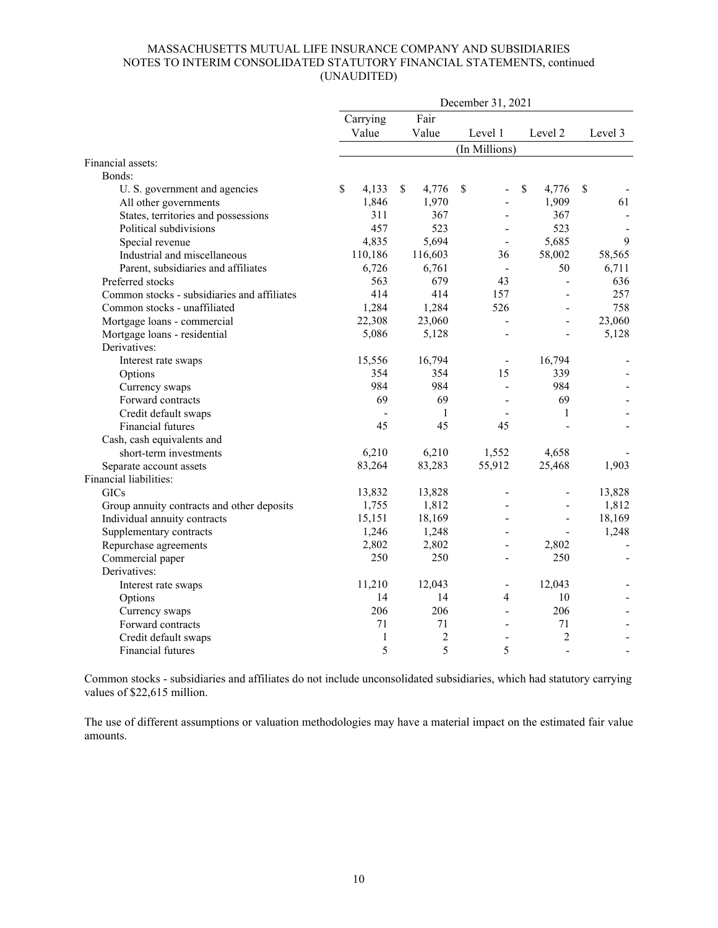| Fair<br>Carrying<br>Value<br>Value<br>Level 1<br>Level 2<br>Level 3<br>(In Millions)<br>Financial assets:<br>Bonds:<br>4,133<br>\$<br>4,776<br>\$<br>\$<br>4,776<br>\$<br>\$<br>U. S. government and agencies<br>÷,<br>1,846<br>1,970<br>1,909<br>61<br>All other governments<br>States, territories and possessions<br>311<br>367<br>367<br>÷.<br>457<br>523<br>523<br>Political subdivisions<br>5,694<br>5,685<br>9<br>Special revenue<br>4,835<br>$\overline{\phantom{a}}$<br>Industrial and miscellaneous<br>116,603<br>58,002<br>58,565<br>110,186<br>36<br>Parent, subsidiaries and affiliates<br>6,726<br>6,761<br>50<br>6,711<br>$\overline{\phantom{a}}$<br>563<br>679<br>43<br>636<br>Preferred stocks<br>Common stocks - subsidiaries and affiliates<br>414<br>414<br>257<br>157<br>$\sim$<br>1,284<br>526<br>758<br>Common stocks - unaffiliated<br>1,284<br>22,308<br>23,060<br>23,060<br>Mortgage loans - commercial<br>÷,<br>Mortgage loans - residential<br>5,086<br>5,128<br>5,128<br>Derivatives:<br>15,556<br>16,794<br>16,794<br>Interest rate swaps<br>$\overline{\phantom{a}}$<br>354<br>354<br>15<br>339<br>Options<br>984<br>984<br>984<br>Currency swaps<br>÷,<br>69<br>69<br>69<br>Forward contracts<br>Credit default swaps<br>$\mathbf{1}$<br>$\mathbf{1}$<br>45<br>Financial futures<br>45<br>45<br>Cash, cash equivalents and<br>6,210<br>6,210<br>1,552<br>short-term investments<br>4,658<br>83,264<br>83,283<br>55,912<br>25,468<br>1,903<br>Separate account assets<br>Financial liabilities:<br>13,832<br>13,828<br>13,828<br><b>GICs</b><br>1,812<br>1,812<br>1,755<br>Group annuity contracts and other deposits<br>÷.<br>18,169<br>Individual annuity contracts<br>15,151<br>18,169<br>÷,<br>Supplementary contracts<br>1,246<br>1,248<br>1,248<br>2,802<br>Repurchase agreements<br>2,802<br>2,802<br>250<br>250<br>Commercial paper<br>250<br>$\overline{a}$<br>Derivatives:<br>11,210<br>12,043<br>12,043<br>Interest rate swaps<br>$\qquad \qquad \blacksquare$<br>14<br>14<br>$\overline{4}$<br>10<br>Options<br>206<br>206<br>206<br>Currency swaps<br>71<br>71<br>71<br>Forward contracts<br>۰<br>2<br>$\overline{2}$<br>1<br>Credit default swaps<br>L, |                   | December 31, 2021 |   |  |   |  |   |  |        |  |  |  |  |
|-------------------------------------------------------------------------------------------------------------------------------------------------------------------------------------------------------------------------------------------------------------------------------------------------------------------------------------------------------------------------------------------------------------------------------------------------------------------------------------------------------------------------------------------------------------------------------------------------------------------------------------------------------------------------------------------------------------------------------------------------------------------------------------------------------------------------------------------------------------------------------------------------------------------------------------------------------------------------------------------------------------------------------------------------------------------------------------------------------------------------------------------------------------------------------------------------------------------------------------------------------------------------------------------------------------------------------------------------------------------------------------------------------------------------------------------------------------------------------------------------------------------------------------------------------------------------------------------------------------------------------------------------------------------------------------------------------------------------------------------------------------------------------------------------------------------------------------------------------------------------------------------------------------------------------------------------------------------------------------------------------------------------------------------------------------------------------------------------------------------------------------------------------------------------------------------------------|-------------------|-------------------|---|--|---|--|---|--|--------|--|--|--|--|
|                                                                                                                                                                                                                                                                                                                                                                                                                                                                                                                                                                                                                                                                                                                                                                                                                                                                                                                                                                                                                                                                                                                                                                                                                                                                                                                                                                                                                                                                                                                                                                                                                                                                                                                                                                                                                                                                                                                                                                                                                                                                                                                                                                                                       |                   |                   |   |  |   |  |   |  |        |  |  |  |  |
|                                                                                                                                                                                                                                                                                                                                                                                                                                                                                                                                                                                                                                                                                                                                                                                                                                                                                                                                                                                                                                                                                                                                                                                                                                                                                                                                                                                                                                                                                                                                                                                                                                                                                                                                                                                                                                                                                                                                                                                                                                                                                                                                                                                                       |                   |                   |   |  |   |  |   |  |        |  |  |  |  |
|                                                                                                                                                                                                                                                                                                                                                                                                                                                                                                                                                                                                                                                                                                                                                                                                                                                                                                                                                                                                                                                                                                                                                                                                                                                                                                                                                                                                                                                                                                                                                                                                                                                                                                                                                                                                                                                                                                                                                                                                                                                                                                                                                                                                       |                   |                   |   |  |   |  |   |  |        |  |  |  |  |
|                                                                                                                                                                                                                                                                                                                                                                                                                                                                                                                                                                                                                                                                                                                                                                                                                                                                                                                                                                                                                                                                                                                                                                                                                                                                                                                                                                                                                                                                                                                                                                                                                                                                                                                                                                                                                                                                                                                                                                                                                                                                                                                                                                                                       |                   |                   |   |  |   |  |   |  |        |  |  |  |  |
|                                                                                                                                                                                                                                                                                                                                                                                                                                                                                                                                                                                                                                                                                                                                                                                                                                                                                                                                                                                                                                                                                                                                                                                                                                                                                                                                                                                                                                                                                                                                                                                                                                                                                                                                                                                                                                                                                                                                                                                                                                                                                                                                                                                                       |                   |                   |   |  |   |  |   |  |        |  |  |  |  |
|                                                                                                                                                                                                                                                                                                                                                                                                                                                                                                                                                                                                                                                                                                                                                                                                                                                                                                                                                                                                                                                                                                                                                                                                                                                                                                                                                                                                                                                                                                                                                                                                                                                                                                                                                                                                                                                                                                                                                                                                                                                                                                                                                                                                       |                   |                   |   |  |   |  |   |  |        |  |  |  |  |
|                                                                                                                                                                                                                                                                                                                                                                                                                                                                                                                                                                                                                                                                                                                                                                                                                                                                                                                                                                                                                                                                                                                                                                                                                                                                                                                                                                                                                                                                                                                                                                                                                                                                                                                                                                                                                                                                                                                                                                                                                                                                                                                                                                                                       |                   |                   |   |  |   |  |   |  |        |  |  |  |  |
|                                                                                                                                                                                                                                                                                                                                                                                                                                                                                                                                                                                                                                                                                                                                                                                                                                                                                                                                                                                                                                                                                                                                                                                                                                                                                                                                                                                                                                                                                                                                                                                                                                                                                                                                                                                                                                                                                                                                                                                                                                                                                                                                                                                                       |                   |                   |   |  |   |  |   |  |        |  |  |  |  |
|                                                                                                                                                                                                                                                                                                                                                                                                                                                                                                                                                                                                                                                                                                                                                                                                                                                                                                                                                                                                                                                                                                                                                                                                                                                                                                                                                                                                                                                                                                                                                                                                                                                                                                                                                                                                                                                                                                                                                                                                                                                                                                                                                                                                       |                   |                   |   |  |   |  |   |  |        |  |  |  |  |
|                                                                                                                                                                                                                                                                                                                                                                                                                                                                                                                                                                                                                                                                                                                                                                                                                                                                                                                                                                                                                                                                                                                                                                                                                                                                                                                                                                                                                                                                                                                                                                                                                                                                                                                                                                                                                                                                                                                                                                                                                                                                                                                                                                                                       |                   |                   |   |  |   |  |   |  |        |  |  |  |  |
|                                                                                                                                                                                                                                                                                                                                                                                                                                                                                                                                                                                                                                                                                                                                                                                                                                                                                                                                                                                                                                                                                                                                                                                                                                                                                                                                                                                                                                                                                                                                                                                                                                                                                                                                                                                                                                                                                                                                                                                                                                                                                                                                                                                                       |                   |                   |   |  |   |  |   |  |        |  |  |  |  |
|                                                                                                                                                                                                                                                                                                                                                                                                                                                                                                                                                                                                                                                                                                                                                                                                                                                                                                                                                                                                                                                                                                                                                                                                                                                                                                                                                                                                                                                                                                                                                                                                                                                                                                                                                                                                                                                                                                                                                                                                                                                                                                                                                                                                       |                   |                   |   |  |   |  |   |  |        |  |  |  |  |
|                                                                                                                                                                                                                                                                                                                                                                                                                                                                                                                                                                                                                                                                                                                                                                                                                                                                                                                                                                                                                                                                                                                                                                                                                                                                                                                                                                                                                                                                                                                                                                                                                                                                                                                                                                                                                                                                                                                                                                                                                                                                                                                                                                                                       |                   |                   |   |  |   |  |   |  |        |  |  |  |  |
|                                                                                                                                                                                                                                                                                                                                                                                                                                                                                                                                                                                                                                                                                                                                                                                                                                                                                                                                                                                                                                                                                                                                                                                                                                                                                                                                                                                                                                                                                                                                                                                                                                                                                                                                                                                                                                                                                                                                                                                                                                                                                                                                                                                                       |                   |                   |   |  |   |  |   |  |        |  |  |  |  |
|                                                                                                                                                                                                                                                                                                                                                                                                                                                                                                                                                                                                                                                                                                                                                                                                                                                                                                                                                                                                                                                                                                                                                                                                                                                                                                                                                                                                                                                                                                                                                                                                                                                                                                                                                                                                                                                                                                                                                                                                                                                                                                                                                                                                       |                   |                   |   |  |   |  |   |  |        |  |  |  |  |
|                                                                                                                                                                                                                                                                                                                                                                                                                                                                                                                                                                                                                                                                                                                                                                                                                                                                                                                                                                                                                                                                                                                                                                                                                                                                                                                                                                                                                                                                                                                                                                                                                                                                                                                                                                                                                                                                                                                                                                                                                                                                                                                                                                                                       |                   |                   |   |  |   |  |   |  |        |  |  |  |  |
|                                                                                                                                                                                                                                                                                                                                                                                                                                                                                                                                                                                                                                                                                                                                                                                                                                                                                                                                                                                                                                                                                                                                                                                                                                                                                                                                                                                                                                                                                                                                                                                                                                                                                                                                                                                                                                                                                                                                                                                                                                                                                                                                                                                                       |                   |                   |   |  |   |  |   |  |        |  |  |  |  |
|                                                                                                                                                                                                                                                                                                                                                                                                                                                                                                                                                                                                                                                                                                                                                                                                                                                                                                                                                                                                                                                                                                                                                                                                                                                                                                                                                                                                                                                                                                                                                                                                                                                                                                                                                                                                                                                                                                                                                                                                                                                                                                                                                                                                       |                   |                   |   |  |   |  |   |  |        |  |  |  |  |
|                                                                                                                                                                                                                                                                                                                                                                                                                                                                                                                                                                                                                                                                                                                                                                                                                                                                                                                                                                                                                                                                                                                                                                                                                                                                                                                                                                                                                                                                                                                                                                                                                                                                                                                                                                                                                                                                                                                                                                                                                                                                                                                                                                                                       |                   |                   |   |  |   |  |   |  |        |  |  |  |  |
|                                                                                                                                                                                                                                                                                                                                                                                                                                                                                                                                                                                                                                                                                                                                                                                                                                                                                                                                                                                                                                                                                                                                                                                                                                                                                                                                                                                                                                                                                                                                                                                                                                                                                                                                                                                                                                                                                                                                                                                                                                                                                                                                                                                                       |                   |                   |   |  |   |  |   |  |        |  |  |  |  |
|                                                                                                                                                                                                                                                                                                                                                                                                                                                                                                                                                                                                                                                                                                                                                                                                                                                                                                                                                                                                                                                                                                                                                                                                                                                                                                                                                                                                                                                                                                                                                                                                                                                                                                                                                                                                                                                                                                                                                                                                                                                                                                                                                                                                       |                   |                   |   |  |   |  |   |  |        |  |  |  |  |
|                                                                                                                                                                                                                                                                                                                                                                                                                                                                                                                                                                                                                                                                                                                                                                                                                                                                                                                                                                                                                                                                                                                                                                                                                                                                                                                                                                                                                                                                                                                                                                                                                                                                                                                                                                                                                                                                                                                                                                                                                                                                                                                                                                                                       |                   |                   |   |  |   |  |   |  |        |  |  |  |  |
|                                                                                                                                                                                                                                                                                                                                                                                                                                                                                                                                                                                                                                                                                                                                                                                                                                                                                                                                                                                                                                                                                                                                                                                                                                                                                                                                                                                                                                                                                                                                                                                                                                                                                                                                                                                                                                                                                                                                                                                                                                                                                                                                                                                                       |                   |                   |   |  |   |  |   |  |        |  |  |  |  |
|                                                                                                                                                                                                                                                                                                                                                                                                                                                                                                                                                                                                                                                                                                                                                                                                                                                                                                                                                                                                                                                                                                                                                                                                                                                                                                                                                                                                                                                                                                                                                                                                                                                                                                                                                                                                                                                                                                                                                                                                                                                                                                                                                                                                       |                   |                   |   |  |   |  |   |  |        |  |  |  |  |
|                                                                                                                                                                                                                                                                                                                                                                                                                                                                                                                                                                                                                                                                                                                                                                                                                                                                                                                                                                                                                                                                                                                                                                                                                                                                                                                                                                                                                                                                                                                                                                                                                                                                                                                                                                                                                                                                                                                                                                                                                                                                                                                                                                                                       |                   |                   |   |  |   |  |   |  |        |  |  |  |  |
|                                                                                                                                                                                                                                                                                                                                                                                                                                                                                                                                                                                                                                                                                                                                                                                                                                                                                                                                                                                                                                                                                                                                                                                                                                                                                                                                                                                                                                                                                                                                                                                                                                                                                                                                                                                                                                                                                                                                                                                                                                                                                                                                                                                                       |                   |                   |   |  |   |  |   |  |        |  |  |  |  |
|                                                                                                                                                                                                                                                                                                                                                                                                                                                                                                                                                                                                                                                                                                                                                                                                                                                                                                                                                                                                                                                                                                                                                                                                                                                                                                                                                                                                                                                                                                                                                                                                                                                                                                                                                                                                                                                                                                                                                                                                                                                                                                                                                                                                       |                   |                   |   |  |   |  |   |  |        |  |  |  |  |
|                                                                                                                                                                                                                                                                                                                                                                                                                                                                                                                                                                                                                                                                                                                                                                                                                                                                                                                                                                                                                                                                                                                                                                                                                                                                                                                                                                                                                                                                                                                                                                                                                                                                                                                                                                                                                                                                                                                                                                                                                                                                                                                                                                                                       |                   |                   |   |  |   |  |   |  |        |  |  |  |  |
|                                                                                                                                                                                                                                                                                                                                                                                                                                                                                                                                                                                                                                                                                                                                                                                                                                                                                                                                                                                                                                                                                                                                                                                                                                                                                                                                                                                                                                                                                                                                                                                                                                                                                                                                                                                                                                                                                                                                                                                                                                                                                                                                                                                                       |                   |                   |   |  |   |  |   |  |        |  |  |  |  |
|                                                                                                                                                                                                                                                                                                                                                                                                                                                                                                                                                                                                                                                                                                                                                                                                                                                                                                                                                                                                                                                                                                                                                                                                                                                                                                                                                                                                                                                                                                                                                                                                                                                                                                                                                                                                                                                                                                                                                                                                                                                                                                                                                                                                       |                   |                   |   |  |   |  |   |  |        |  |  |  |  |
|                                                                                                                                                                                                                                                                                                                                                                                                                                                                                                                                                                                                                                                                                                                                                                                                                                                                                                                                                                                                                                                                                                                                                                                                                                                                                                                                                                                                                                                                                                                                                                                                                                                                                                                                                                                                                                                                                                                                                                                                                                                                                                                                                                                                       |                   |                   |   |  |   |  |   |  |        |  |  |  |  |
|                                                                                                                                                                                                                                                                                                                                                                                                                                                                                                                                                                                                                                                                                                                                                                                                                                                                                                                                                                                                                                                                                                                                                                                                                                                                                                                                                                                                                                                                                                                                                                                                                                                                                                                                                                                                                                                                                                                                                                                                                                                                                                                                                                                                       |                   |                   |   |  |   |  |   |  |        |  |  |  |  |
|                                                                                                                                                                                                                                                                                                                                                                                                                                                                                                                                                                                                                                                                                                                                                                                                                                                                                                                                                                                                                                                                                                                                                                                                                                                                                                                                                                                                                                                                                                                                                                                                                                                                                                                                                                                                                                                                                                                                                                                                                                                                                                                                                                                                       |                   |                   |   |  |   |  |   |  |        |  |  |  |  |
|                                                                                                                                                                                                                                                                                                                                                                                                                                                                                                                                                                                                                                                                                                                                                                                                                                                                                                                                                                                                                                                                                                                                                                                                                                                                                                                                                                                                                                                                                                                                                                                                                                                                                                                                                                                                                                                                                                                                                                                                                                                                                                                                                                                                       |                   |                   |   |  |   |  |   |  |        |  |  |  |  |
|                                                                                                                                                                                                                                                                                                                                                                                                                                                                                                                                                                                                                                                                                                                                                                                                                                                                                                                                                                                                                                                                                                                                                                                                                                                                                                                                                                                                                                                                                                                                                                                                                                                                                                                                                                                                                                                                                                                                                                                                                                                                                                                                                                                                       |                   |                   |   |  |   |  |   |  |        |  |  |  |  |
|                                                                                                                                                                                                                                                                                                                                                                                                                                                                                                                                                                                                                                                                                                                                                                                                                                                                                                                                                                                                                                                                                                                                                                                                                                                                                                                                                                                                                                                                                                                                                                                                                                                                                                                                                                                                                                                                                                                                                                                                                                                                                                                                                                                                       |                   |                   |   |  |   |  |   |  |        |  |  |  |  |
|                                                                                                                                                                                                                                                                                                                                                                                                                                                                                                                                                                                                                                                                                                                                                                                                                                                                                                                                                                                                                                                                                                                                                                                                                                                                                                                                                                                                                                                                                                                                                                                                                                                                                                                                                                                                                                                                                                                                                                                                                                                                                                                                                                                                       |                   |                   |   |  |   |  |   |  |        |  |  |  |  |
|                                                                                                                                                                                                                                                                                                                                                                                                                                                                                                                                                                                                                                                                                                                                                                                                                                                                                                                                                                                                                                                                                                                                                                                                                                                                                                                                                                                                                                                                                                                                                                                                                                                                                                                                                                                                                                                                                                                                                                                                                                                                                                                                                                                                       |                   |                   |   |  |   |  |   |  |        |  |  |  |  |
|                                                                                                                                                                                                                                                                                                                                                                                                                                                                                                                                                                                                                                                                                                                                                                                                                                                                                                                                                                                                                                                                                                                                                                                                                                                                                                                                                                                                                                                                                                                                                                                                                                                                                                                                                                                                                                                                                                                                                                                                                                                                                                                                                                                                       |                   |                   |   |  |   |  |   |  |        |  |  |  |  |
|                                                                                                                                                                                                                                                                                                                                                                                                                                                                                                                                                                                                                                                                                                                                                                                                                                                                                                                                                                                                                                                                                                                                                                                                                                                                                                                                                                                                                                                                                                                                                                                                                                                                                                                                                                                                                                                                                                                                                                                                                                                                                                                                                                                                       |                   |                   |   |  |   |  |   |  |        |  |  |  |  |
|                                                                                                                                                                                                                                                                                                                                                                                                                                                                                                                                                                                                                                                                                                                                                                                                                                                                                                                                                                                                                                                                                                                                                                                                                                                                                                                                                                                                                                                                                                                                                                                                                                                                                                                                                                                                                                                                                                                                                                                                                                                                                                                                                                                                       | Financial futures |                   | 5 |  | 5 |  | 5 |  | $\sim$ |  |  |  |  |

Common stocks - subsidiaries and affiliates do not include unconsolidated subsidiaries, which had statutory carrying values of \$22,615 million.

The use of different assumptions or valuation methodologies may have a material impact on the estimated fair value amounts.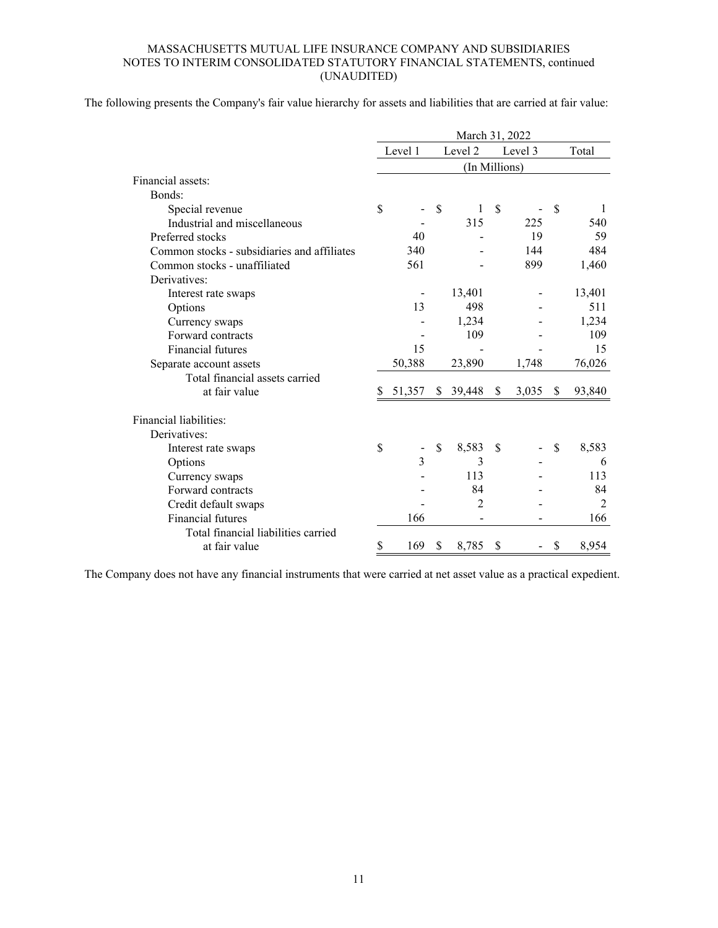The following presents the Company's fair value hierarchy for assets and liabilities that are carried at fair value:

|                                             | March 31, 2022 |                |    |               |    |         |       |                |  |  |  |  |
|---------------------------------------------|----------------|----------------|----|---------------|----|---------|-------|----------------|--|--|--|--|
|                                             |                | Level 1        |    | Level 2       |    | Level 3 | Total |                |  |  |  |  |
|                                             |                |                |    | (In Millions) |    |         |       |                |  |  |  |  |
| Financial assets:                           |                |                |    |               |    |         |       |                |  |  |  |  |
| Bonds:                                      |                |                |    |               |    |         |       |                |  |  |  |  |
| Special revenue                             | \$             |                | \$ | 1             | \$ |         | \$    | 1              |  |  |  |  |
| Industrial and miscellaneous                |                |                |    | 315           |    | 225     |       | 540            |  |  |  |  |
| Preferred stocks                            |                | 40             |    |               |    | 19      |       | 59             |  |  |  |  |
| Common stocks - subsidiaries and affiliates |                | 340            |    |               |    | 144     |       | 484            |  |  |  |  |
| Common stocks - unaffiliated                |                | 561            |    |               |    | 899     |       | 1,460          |  |  |  |  |
| Derivatives:                                |                |                |    |               |    |         |       |                |  |  |  |  |
| Interest rate swaps                         |                |                |    | 13,401        |    |         |       | 13,401         |  |  |  |  |
| Options                                     |                | 13             |    | 498           |    |         |       | 511            |  |  |  |  |
| Currency swaps                              |                |                |    | 1,234         |    |         |       | 1,234          |  |  |  |  |
| Forward contracts                           |                |                |    | 109           |    |         |       | 109            |  |  |  |  |
| Financial futures                           |                | 15             |    |               |    |         |       | 15             |  |  |  |  |
| Separate account assets                     |                | 50,388         |    | 23,890        |    | 1,748   |       | 76,026         |  |  |  |  |
| Total financial assets carried              |                |                |    |               |    |         |       |                |  |  |  |  |
| at fair value                               | S              | 51,357         | \$ | 39,448        | \$ | 3,035   | \$    | 93,840         |  |  |  |  |
| Financial liabilities:                      |                |                |    |               |    |         |       |                |  |  |  |  |
| Derivatives:                                |                |                |    |               |    |         |       |                |  |  |  |  |
| Interest rate swaps                         | \$             |                | \$ | 8,583         | \$ |         | \$    | 8,583          |  |  |  |  |
| Options                                     |                | $\overline{3}$ |    | 3             |    |         |       | 6              |  |  |  |  |
| Currency swaps                              |                |                |    | 113           |    |         |       | 113            |  |  |  |  |
| Forward contracts                           |                |                |    | 84            |    |         |       | 84             |  |  |  |  |
| Credit default swaps                        |                |                |    | 2             |    |         |       | $\overline{2}$ |  |  |  |  |
| <b>Financial futures</b>                    |                | 166            |    |               |    |         |       | 166            |  |  |  |  |
| Total financial liabilities carried         |                |                |    |               |    |         |       |                |  |  |  |  |
| at fair value                               | \$             | 169            | \$ | 8,785         | \$ |         | \$    | 8,954          |  |  |  |  |

The Company does not have any financial instruments that were carried at net asset value as a practical expedient.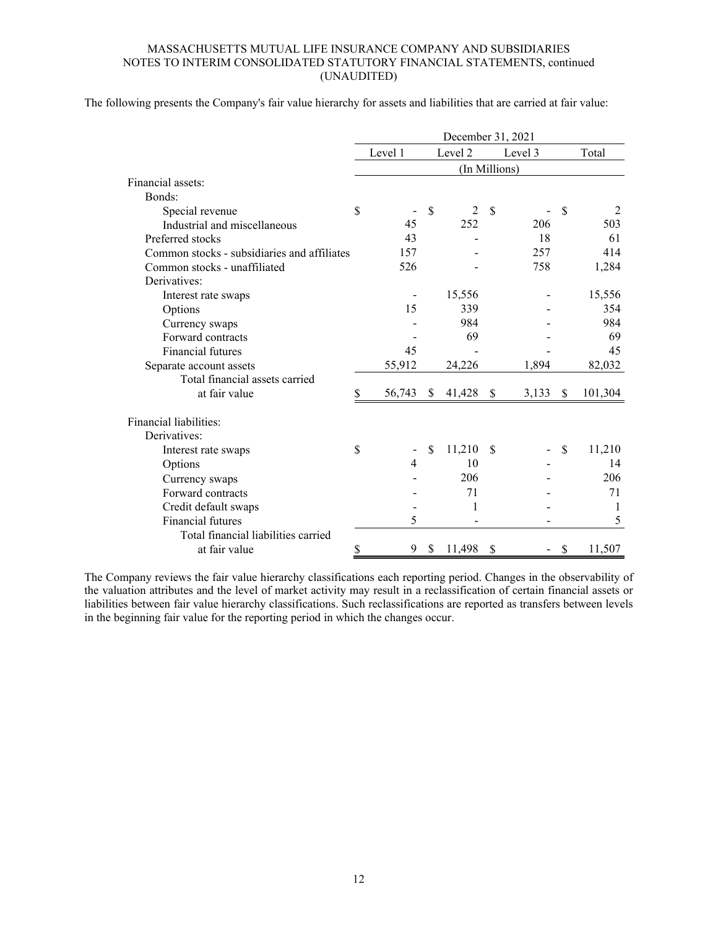The following presents the Company's fair value hierarchy for assets and liabilities that are carried at fair value:

|                                             | December 31, 2021 |                |              |               |    |         |               |         |  |  |  |
|---------------------------------------------|-------------------|----------------|--------------|---------------|----|---------|---------------|---------|--|--|--|
|                                             |                   | Level 1        |              | Level 2       |    | Level 3 |               | Total   |  |  |  |
|                                             |                   |                |              | (In Millions) |    |         |               |         |  |  |  |
| Financial assets:                           |                   |                |              |               |    |         |               |         |  |  |  |
| Bonds:                                      |                   |                |              |               |    |         |               |         |  |  |  |
| Special revenue                             | \$                |                | \$           | 2             | \$ |         | $\mathcal{S}$ | 2       |  |  |  |
| Industrial and miscellaneous                |                   | 45             |              | 252           |    | 206     |               | 503     |  |  |  |
| Preferred stocks                            |                   | 43             |              |               |    | 18      |               | 61      |  |  |  |
| Common stocks - subsidiaries and affiliates |                   | 157            |              |               |    | 257     |               | 414     |  |  |  |
| Common stocks - unaffiliated                |                   | 526            |              |               |    | 758     |               | 1,284   |  |  |  |
| Derivatives:                                |                   |                |              |               |    |         |               |         |  |  |  |
| Interest rate swaps                         |                   |                |              | 15,556        |    |         |               | 15,556  |  |  |  |
| Options                                     |                   | 15             |              | 339           |    |         |               | 354     |  |  |  |
| Currency swaps                              |                   |                |              | 984           |    |         |               | 984     |  |  |  |
| Forward contracts                           |                   |                |              | 69            |    |         |               | 69      |  |  |  |
| <b>Financial futures</b>                    |                   | 45             |              |               |    |         |               | 45      |  |  |  |
| Separate account assets                     |                   | 55,912         |              | 24,226        |    | 1,894   |               | 82,032  |  |  |  |
| Total financial assets carried              |                   |                |              |               |    |         |               |         |  |  |  |
| at fair value                               | \$                | 56,743         | <sup>S</sup> | 41,428        | \$ | 3,133   | \$            | 101,304 |  |  |  |
| Financial liabilities:                      |                   |                |              |               |    |         |               |         |  |  |  |
| Derivatives:                                |                   |                |              |               |    |         |               |         |  |  |  |
| Interest rate swaps                         | \$                |                | \$           | 11,210        | S  |         | $\mathbb{S}$  | 11,210  |  |  |  |
| Options                                     |                   | $\overline{4}$ |              | 10            |    |         |               | 14      |  |  |  |
| Currency swaps                              |                   |                |              | 206           |    |         |               | 206     |  |  |  |
| Forward contracts                           |                   |                |              | 71            |    |         |               | 71      |  |  |  |
| Credit default swaps                        |                   |                |              | 1             |    |         |               | 1       |  |  |  |
| <b>Financial futures</b>                    |                   | 5              |              |               |    |         |               | 5       |  |  |  |
| Total financial liabilities carried         |                   |                |              |               |    |         |               |         |  |  |  |
| at fair value                               | \$                | 9              | \$           | 11,498        | \$ |         | \$            | 11,507  |  |  |  |

The Company reviews the fair value hierarchy classifications each reporting period. Changes in the observability of the valuation attributes and the level of market activity may result in a reclassification of certain financial assets or liabilities between fair value hierarchy classifications. Such reclassifications are reported as transfers between levels in the beginning fair value for the reporting period in which the changes occur.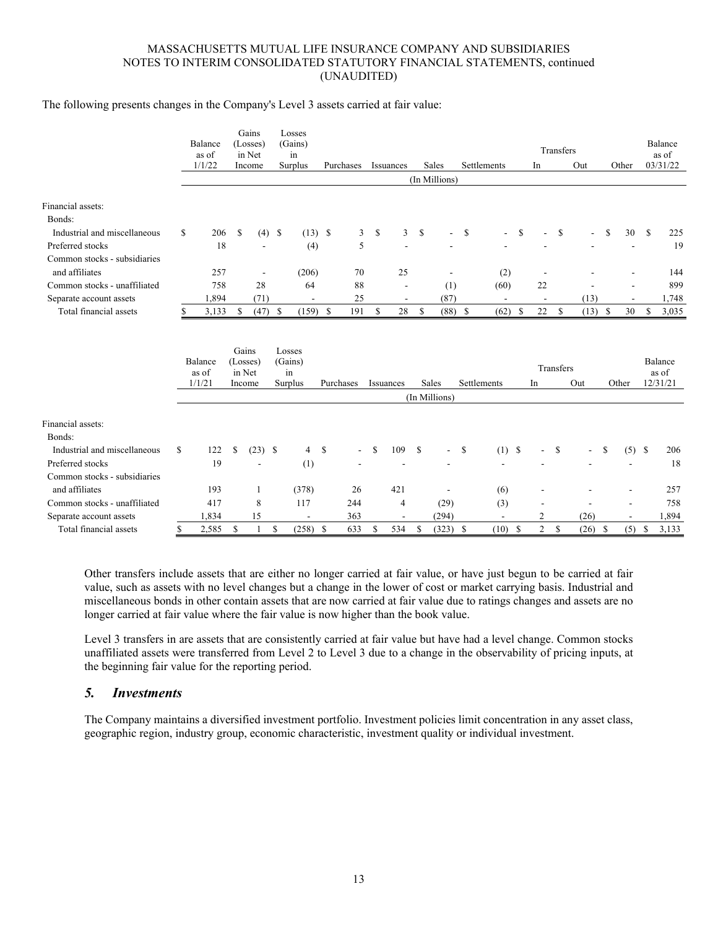#### The following presents changes in the Company's Level 3 assets carried at fair value:

|                              |    | Balance<br>as of<br>1/1/22 |    | Gains<br>(Losses)<br>in Net<br>Income |          | Losses<br>(Gains)<br>in<br>Surplus |               | Purchases      |              | Issuances                |              | Sales                    |               | Settlements              |               | In                       | Transfers | Out       | Other                    |               | Balance<br>as of<br>03/31/22 |
|------------------------------|----|----------------------------|----|---------------------------------------|----------|------------------------------------|---------------|----------------|--------------|--------------------------|--------------|--------------------------|---------------|--------------------------|---------------|--------------------------|-----------|-----------|--------------------------|---------------|------------------------------|
|                              |    |                            |    |                                       |          |                                    |               |                |              |                          |              | (In Millions)            |               |                          |               |                          |           |           |                          |               |                              |
| Financial assets:            |    |                            |    |                                       |          |                                    |               |                |              |                          |              |                          |               |                          |               |                          |           |           |                          |               |                              |
| Bonds:                       |    |                            |    |                                       |          |                                    |               |                |              |                          |              |                          |               |                          |               |                          |           |           |                          |               |                              |
| Industrial and miscellaneous | \$ | 206                        | \$ |                                       | $(4)$ \$ | $(13)$ \$                          |               | 3              | \$           | $\mathbf{3}$             | $\mathbb{S}$ | $\overline{a}$           | <sup>\$</sup> |                          | S             | ٠                        | \$        |           | \$<br>30                 | <sup>\$</sup> | 225                          |
| Preferred stocks             |    | 18                         |    |                                       |          | (4)                                |               | 5              |              |                          |              |                          |               |                          |               |                          |           |           |                          |               | 19                           |
| Common stocks - subsidiaries |    |                            |    |                                       |          |                                    |               |                |              |                          |              |                          |               |                          |               |                          |           |           |                          |               |                              |
| and affiliates               |    | 257                        |    | $\overline{\phantom{a}}$              |          | (206)                              |               | 70             |              | 25                       |              |                          |               | (2)                      |               | ÷,                       |           |           |                          |               | 144                          |
| Common stocks - unaffiliated |    | 758                        |    | 28                                    |          | 64                                 |               | 88             |              |                          |              | (1)                      |               | (60)                     |               | 22                       |           |           |                          |               | 899                          |
| Separate account assets      |    | 1,894                      |    | (71)                                  |          | $\overline{a}$                     |               | 25             |              | $\overline{\phantom{a}}$ |              | (87)                     |               | $\overline{\phantom{a}}$ |               | $\overline{\phantom{a}}$ |           | (13)      | $\overline{\phantom{a}}$ |               | 1,748                        |
| Total financial assets       | S  | 3,133                      | \$ | (47)                                  | - \$     | (159)                              | -S            | 191            | $\mathbb{S}$ | 28                       | \$           | $(88)$ \$                |               | (62)                     | - \$          | 22                       | \$        | $(13)$ \$ | 30                       | \$            | 3,035                        |
|                              |    | Balance<br>as of<br>1/1/21 |    | Gains<br>(Losses)<br>in Net<br>Income |          | Losses<br>(Gains)<br>in<br>Surplus |               | Purchases      |              | Issuances                |              | Sales                    |               | Settlements              |               | In                       | Transfers | Out       | Other                    |               | Balance<br>as of<br>12/31/21 |
|                              |    |                            |    |                                       |          |                                    |               |                |              |                          |              | (In Millions)            |               |                          |               |                          |           |           |                          |               |                              |
| Financial assets:<br>Bonds:  |    |                            |    |                                       |          |                                    |               |                |              |                          |              |                          |               |                          |               |                          |           |           |                          |               |                              |
| Industrial and miscellaneous | \$ | 122                        | S  | $(23)$ \$                             |          | $\overline{4}$                     | $\mathbf{s}$  | $\blacksquare$ | S            | 109                      | $\mathbb{S}$ | ٠                        | \$            | $(1)$ \$                 |               |                          | \$        |           | \$<br>$(5)$ \$           |               | 206                          |
| Preferred stocks             |    | 19                         |    |                                       |          | (1)                                |               |                |              |                          |              |                          |               |                          |               |                          |           |           |                          |               | 18                           |
| Common stocks - subsidiaries |    |                            |    |                                       |          |                                    |               |                |              |                          |              |                          |               |                          |               |                          |           |           |                          |               |                              |
| and affiliates               |    | 193                        |    | 1                                     |          | (378)                              |               | 26             |              | 421                      |              | $\overline{\phantom{a}}$ |               | (6)                      |               |                          |           |           | $\overline{\phantom{a}}$ |               | 257                          |
| Common stocks - unaffiliated |    | 417                        |    | 8                                     |          | 117                                |               | 244            |              | $\overline{4}$           |              | (29)                     |               | (3)                      |               |                          |           |           | $\overline{\phantom{a}}$ |               | 758                          |
| Separate account assets      |    | 1,834                      |    | 15                                    |          |                                    |               | 363            |              |                          |              | (294)                    |               |                          |               | $\mathfrak{2}$           |           | (26)      | $\blacksquare$           |               | 1,894                        |
| Total financial assets       | \$ | 2,585                      | \$ | $\mathbf{1}$                          | \$       | (258)                              | <sup>\$</sup> | 633            | \$           | 534                      | \$           | (323)                    | <sup>\$</sup> | (10)                     | <sup>\$</sup> | $\overline{c}$           | \$        | (26)      | \$<br>(5)                | - \$          | 3,133                        |

Other transfers include assets that are either no longer carried at fair value, or have just begun to be carried at fair value, such as assets with no level changes but a change in the lower of cost or market carrying basis. Industrial and miscellaneous bonds in other contain assets that are now carried at fair value due to ratings changes and assets are no longer carried at fair value where the fair value is now higher than the book value.

Level 3 transfers in are assets that are consistently carried at fair value but have had a level change. Common stocks unaffiliated assets were transferred from Level 2 to Level 3 due to a change in the observability of pricing inputs, at the beginning fair value for the reporting period.

# *5. Investments*

The Company maintains a diversified investment portfolio. Investment policies limit concentration in any asset class, geographic region, industry group, economic characteristic, investment quality or individual investment.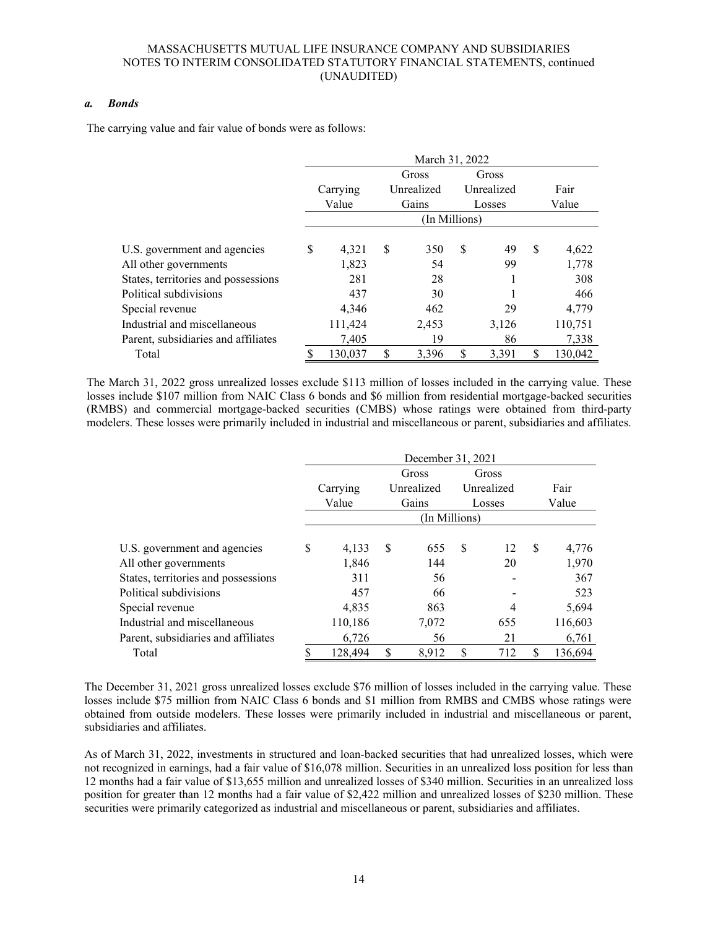#### *a. Bonds*

The carrying value and fair value of bonds were as follows:

|                                     | March 31, 2022 |          |       |            |               |            |    |         |  |  |  |  |  |  |
|-------------------------------------|----------------|----------|-------|------------|---------------|------------|----|---------|--|--|--|--|--|--|
|                                     |                |          | Gross |            |               |            |    |         |  |  |  |  |  |  |
|                                     |                | Carrying |       | Unrealized |               | Unrealized |    | Fair    |  |  |  |  |  |  |
|                                     |                | Value    |       | Gains      |               | Losses     |    | Value   |  |  |  |  |  |  |
|                                     | (In Millions)  |          |       |            |               |            |    |         |  |  |  |  |  |  |
| U.S. government and agencies        | \$             | 4,321    | \$    | 350        | <sup>\$</sup> | 49         | \$ | 4,622   |  |  |  |  |  |  |
| All other governments               |                | 1,823    |       | 54         |               | 99         |    | 1,778   |  |  |  |  |  |  |
| States, territories and possessions |                | 281      |       | 28         |               |            |    | 308     |  |  |  |  |  |  |
| Political subdivisions              |                | 437      |       | 30         |               |            |    | 466     |  |  |  |  |  |  |
| Special revenue                     |                | 4,346    |       | 462        |               | 29         |    | 4,779   |  |  |  |  |  |  |
| Industrial and miscellaneous        |                | 111,424  |       | 2,453      |               | 3,126      |    | 110,751 |  |  |  |  |  |  |
| Parent, subsidiaries and affiliates |                | 7,405    |       | 19         |               | 86         |    | 7,338   |  |  |  |  |  |  |
| Total                               | S              | 130,037  | \$    | 3,396      | \$            | 3,391      |    | 130,042 |  |  |  |  |  |  |

The March 31, 2022 gross unrealized losses exclude \$113 million of losses included in the carrying value. These losses include \$107 million from NAIC Class 6 bonds and \$6 million from residential mortgage-backed securities (RMBS) and commercial mortgage-backed securities (CMBS) whose ratings were obtained from third-party modelers. These losses were primarily included in industrial and miscellaneous or parent, subsidiaries and affiliates.

|                                     | December 31, 2021 |          |    |            |    |            |     |         |  |  |  |  |  |  |
|-------------------------------------|-------------------|----------|----|------------|----|------------|-----|---------|--|--|--|--|--|--|
|                                     |                   |          |    | Gross      |    | Gross      |     |         |  |  |  |  |  |  |
|                                     |                   | Carrying |    | Unrealized |    | Unrealized |     | Fair    |  |  |  |  |  |  |
|                                     |                   | Value    |    | Gains      |    | Losses     |     | Value   |  |  |  |  |  |  |
|                                     |                   |          |    |            |    |            |     |         |  |  |  |  |  |  |
| U.S. government and agencies        | \$                | 4,133    | S  | 655        | S  | 12         | \$. | 4,776   |  |  |  |  |  |  |
| All other governments               |                   | 1,846    |    | 144        |    | 20         |     | 1,970   |  |  |  |  |  |  |
| States, territories and possessions |                   | 311      |    | 56         |    |            |     | 367     |  |  |  |  |  |  |
| Political subdivisions              |                   | 457      |    | 66         |    |            |     | 523     |  |  |  |  |  |  |
| Special revenue                     |                   | 4.835    |    | 863        |    | 4          |     | 5,694   |  |  |  |  |  |  |
| Industrial and miscellaneous        |                   | 110,186  |    | 7,072      |    | 655        |     | 116,603 |  |  |  |  |  |  |
| Parent, subsidiaries and affiliates |                   | 6,726    |    | 56         |    | 21         |     | 6,761   |  |  |  |  |  |  |
| Total                               |                   | 128,494  | \$ | 8.912      | \$ | 712        | S   | 136,694 |  |  |  |  |  |  |

The December 31, 2021 gross unrealized losses exclude \$76 million of losses included in the carrying value. These losses include \$75 million from NAIC Class 6 bonds and \$1 million from RMBS and CMBS whose ratings were obtained from outside modelers. These losses were primarily included in industrial and miscellaneous or parent, subsidiaries and affiliates.

As of March 31, 2022, investments in structured and loan-backed securities that had unrealized losses, which were not recognized in earnings, had a fair value of \$16,078 million. Securities in an unrealized loss position for less than 12 months had a fair value of \$13,655 million and unrealized losses of \$340 million. Securities in an unrealized loss position for greater than 12 months had a fair value of \$2,422 million and unrealized losses of \$230 million. These securities were primarily categorized as industrial and miscellaneous or parent, subsidiaries and affiliates.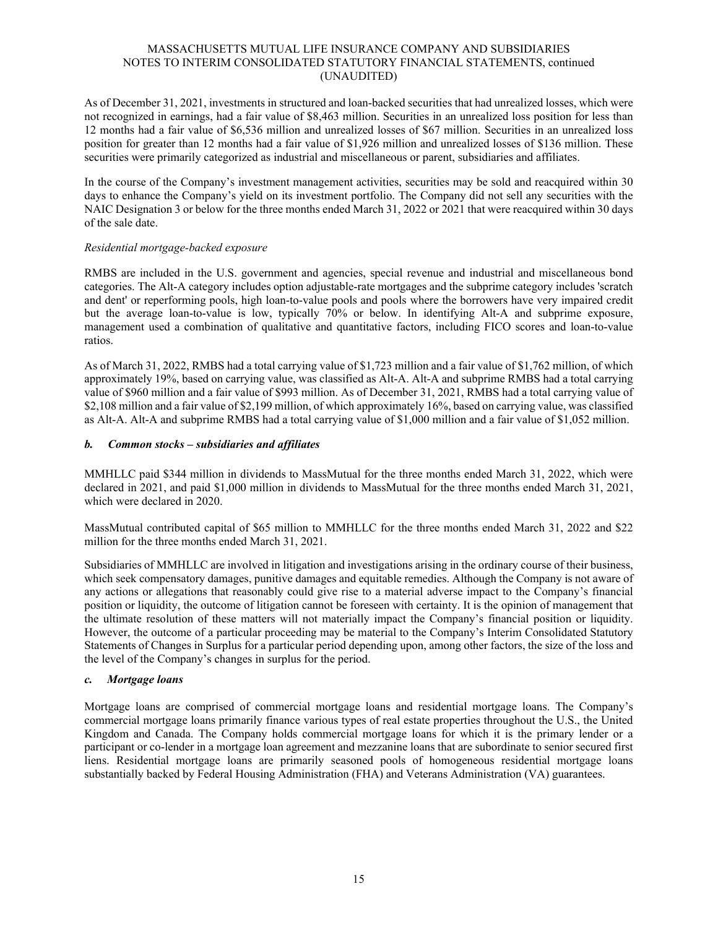As of December 31, 2021, investments in structured and loan-backed securities that had unrealized losses, which were not recognized in earnings, had a fair value of \$8,463 million. Securities in an unrealized loss position for less than 12 months had a fair value of \$6,536 million and unrealized losses of \$67 million. Securities in an unrealized loss position for greater than 12 months had a fair value of \$1,926 million and unrealized losses of \$136 million. These securities were primarily categorized as industrial and miscellaneous or parent, subsidiaries and affiliates.

In the course of the Company's investment management activities, securities may be sold and reacquired within 30 days to enhance the Company's yield on its investment portfolio. The Company did not sell any securities with the NAIC Designation 3 or below for the three months ended March 31, 2022 or 2021 that were reacquired within 30 days of the sale date.

### *Residential mortgage-backed exposure*

RMBS are included in the U.S. government and agencies, special revenue and industrial and miscellaneous bond categories. The Alt-A category includes option adjustable-rate mortgages and the subprime category includes 'scratch and dent' or reperforming pools, high loan-to-value pools and pools where the borrowers have very impaired credit but the average loan-to-value is low, typically 70% or below. In identifying Alt-A and subprime exposure, management used a combination of qualitative and quantitative factors, including FICO scores and loan-to-value ratios.

As of March 31, 2022, RMBS had a total carrying value of \$1,723 million and a fair value of \$1,762 million, of which approximately 19%, based on carrying value, was classified as Alt-A. Alt-A and subprime RMBS had a total carrying value of \$960 million and a fair value of \$993 million. As of December 31, 2021, RMBS had a total carrying value of \$2,108 million and a fair value of \$2,199 million, of which approximately 16%, based on carrying value, was classified as Alt-A. Alt-A and subprime RMBS had a total carrying value of \$1,000 million and a fair value of \$1,052 million.

### *b. Common stocks – subsidiaries and affiliates*

MMHLLC paid \$344 million in dividends to MassMutual for the three months ended March 31, 2022, which were declared in 2021, and paid \$1,000 million in dividends to MassMutual for the three months ended March 31, 2021, which were declared in 2020.

MassMutual contributed capital of \$65 million to MMHLLC for the three months ended March 31, 2022 and \$22 million for the three months ended March 31, 2021.

Subsidiaries of MMHLLC are involved in litigation and investigations arising in the ordinary course of their business, which seek compensatory damages, punitive damages and equitable remedies. Although the Company is not aware of any actions or allegations that reasonably could give rise to a material adverse impact to the Company's financial position or liquidity, the outcome of litigation cannot be foreseen with certainty. It is the opinion of management that the ultimate resolution of these matters will not materially impact the Company's financial position or liquidity. However, the outcome of a particular proceeding may be material to the Company's Interim Consolidated Statutory Statements of Changes in Surplus for a particular period depending upon, among other factors, the size of the loss and the level of the Company's changes in surplus for the period.

#### *c. Mortgage loans*

Mortgage loans are comprised of commercial mortgage loans and residential mortgage loans. The Company's commercial mortgage loans primarily finance various types of real estate properties throughout the U.S., the United Kingdom and Canada. The Company holds commercial mortgage loans for which it is the primary lender or a participant or co-lender in a mortgage loan agreement and mezzanine loans that are subordinate to senior secured first liens. Residential mortgage loans are primarily seasoned pools of homogeneous residential mortgage loans substantially backed by Federal Housing Administration (FHA) and Veterans Administration (VA) guarantees.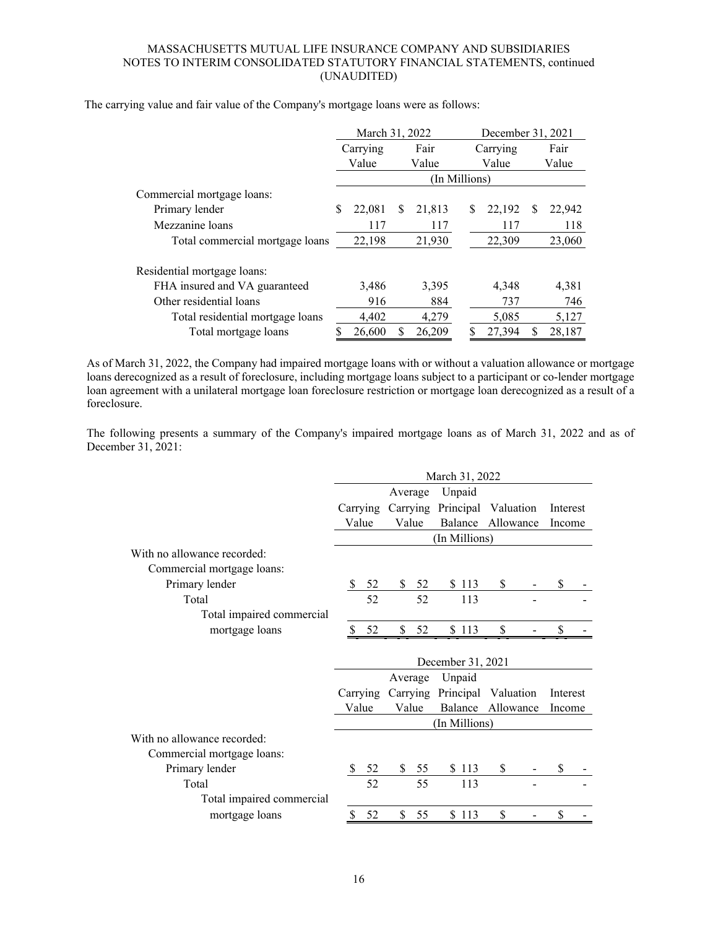|                                  |   | March 31, 2022 |       |               |       | December 31, 2021 |        |   |        |  |
|----------------------------------|---|----------------|-------|---------------|-------|-------------------|--------|---|--------|--|
|                                  |   | Carrying       | Fair  |               |       | Carrying          | Fair   |   |        |  |
|                                  |   | Value          | Value |               | Value |                   |        |   | Value  |  |
|                                  |   |                |       | (In Millions) |       |                   |        |   |        |  |
| Commercial mortgage loans:       |   |                |       |               |       |                   |        |   |        |  |
| Primary lender                   | S | 22,081         | S     | 21,813        |       | \$                | 22,192 | S | 22,942 |  |
| Mezzanine loans                  |   | 117            |       | 117           |       |                   | 117    |   | 118    |  |
| Total commercial mortgage loans  |   | 22,198         |       | 21,930        |       |                   | 22,309 |   | 23,060 |  |
| Residential mortgage loans:      |   |                |       |               |       |                   |        |   |        |  |
| FHA insured and VA guaranteed    |   | 3,486          |       | 3,395         |       |                   | 4.348  |   | 4,381  |  |
| Other residential loans          |   | 916            |       | 884           |       |                   | 737    |   | 746    |  |
| Total residential mortgage loans |   | 4.402          |       | 4,279         |       |                   | 5,085  |   | 5,127  |  |
| Total mortgage loans             | S | 26,600         | S     | 26,209        |       | \$                | 27,394 |   | 28,187 |  |

The carrying value and fair value of the Company's mortgage loans were as follows:

As of March 31, 2022, the Company had impaired mortgage loans with or without a valuation allowance or mortgage loans derecognized as a result of foreclosure, including mortgage loans subject to a participant or co-lender mortgage loan agreement with a unilateral mortgage loan foreclosure restriction or mortgage loan derecognized as a result of a foreclosure.

The following presents a summary of the Company's impaired mortgage loans as of March 31, 2022 and as of December 31, 2021:

|                             | March 31, 2022 |          |          |      |                              |                   |  |          |  |
|-----------------------------|----------------|----------|----------|------|------------------------------|-------------------|--|----------|--|
|                             | Average        |          |          |      | Unpaid                       |                   |  |          |  |
|                             |                | Carrying | Carrying |      | Principal                    | Valuation         |  | Interest |  |
|                             |                | Value    | Value    |      |                              | Balance Allowance |  | Income   |  |
|                             |                |          |          |      | (In Millions)                |                   |  |          |  |
| With no allowance recorded: |                |          |          |      |                              |                   |  |          |  |
| Commercial mortgage loans:  |                |          |          |      |                              |                   |  |          |  |
| Primary lender              | <sup>\$</sup>  | 52       | \$       | 52   | \$113                        | \$                |  | \$       |  |
| Total                       |                | 52       |          | 52   | 113                          |                   |  |          |  |
| Total impaired commercial   |                |          |          |      |                              |                   |  |          |  |
| mortgage loans              |                | 52       | \$       | 52   | \$113                        | \$                |  | \$       |  |
|                             |                |          |          |      |                              |                   |  |          |  |
|                             |                |          |          |      | December 31, 2021            |                   |  |          |  |
|                             |                |          | Average  |      | Unpaid                       |                   |  |          |  |
|                             |                | Carrying |          |      | Carrying Principal Valuation |                   |  | Interest |  |
|                             |                | Value    | Value    |      | Balance Allowance            |                   |  | Income   |  |
|                             |                |          |          |      | (In Millions)                |                   |  |          |  |
| With no allowance recorded: |                |          |          |      |                              |                   |  |          |  |
| Commercial mortgage loans:  |                |          |          |      |                              |                   |  |          |  |
| Primary lender              |                | 52       |          | \$55 | \$113                        | \$                |  | \$       |  |
| Total                       |                | 52       |          | 55   | 113                          |                   |  |          |  |
| Total impaired commercial   |                |          |          |      |                              |                   |  |          |  |
| mortgage loans              | \$             | 52       | \$       | 55   | \$113                        | \$                |  | \$       |  |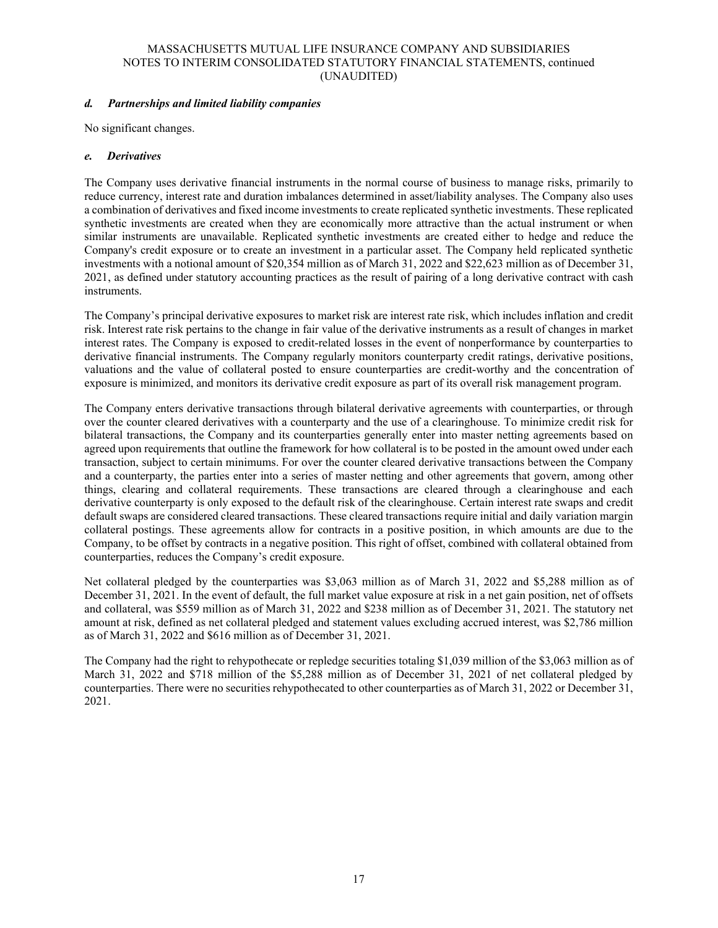### *d. Partnerships and limited liability companies*

No significant changes.

### *e. Derivatives*

The Company uses derivative financial instruments in the normal course of business to manage risks, primarily to reduce currency, interest rate and duration imbalances determined in asset/liability analyses. The Company also uses a combination of derivatives and fixed income investments to create replicated synthetic investments. These replicated synthetic investments are created when they are economically more attractive than the actual instrument or when similar instruments are unavailable. Replicated synthetic investments are created either to hedge and reduce the Company's credit exposure or to create an investment in a particular asset. The Company held replicated synthetic investments with a notional amount of \$20,354 million as of March 31, 2022 and \$22,623 million as of December 31, 2021, as defined under statutory accounting practices as the result of pairing of a long derivative contract with cash instruments.

The Company's principal derivative exposures to market risk are interest rate risk, which includes inflation and credit risk. Interest rate risk pertains to the change in fair value of the derivative instruments as a result of changes in market interest rates. The Company is exposed to credit-related losses in the event of nonperformance by counterparties to derivative financial instruments. The Company regularly monitors counterparty credit ratings, derivative positions, valuations and the value of collateral posted to ensure counterparties are credit-worthy and the concentration of exposure is minimized, and monitors its derivative credit exposure as part of its overall risk management program.

The Company enters derivative transactions through bilateral derivative agreements with counterparties, or through over the counter cleared derivatives with a counterparty and the use of a clearinghouse. To minimize credit risk for bilateral transactions, the Company and its counterparties generally enter into master netting agreements based on agreed upon requirements that outline the framework for how collateral is to be posted in the amount owed under each transaction, subject to certain minimums. For over the counter cleared derivative transactions between the Company and a counterparty, the parties enter into a series of master netting and other agreements that govern, among other things, clearing and collateral requirements. These transactions are cleared through a clearinghouse and each derivative counterparty is only exposed to the default risk of the clearinghouse. Certain interest rate swaps and credit default swaps are considered cleared transactions. These cleared transactions require initial and daily variation margin collateral postings. These agreements allow for contracts in a positive position, in which amounts are due to the Company, to be offset by contracts in a negative position. This right of offset, combined with collateral obtained from counterparties, reduces the Company's credit exposure.

Net collateral pledged by the counterparties was \$3,063 million as of March 31, 2022 and \$5,288 million as of December 31, 2021. In the event of default, the full market value exposure at risk in a net gain position, net of offsets and collateral, was \$559 million as of March 31, 2022 and \$238 million as of December 31, 2021. The statutory net amount at risk, defined as net collateral pledged and statement values excluding accrued interest, was \$2,786 million as of March 31, 2022 and \$616 million as of December 31, 2021.

The Company had the right to rehypothecate or repledge securities totaling \$1,039 million of the \$3,063 million as of March 31, 2022 and \$718 million of the \$5,288 million as of December 31, 2021 of net collateral pledged by counterparties. There were no securities rehypothecated to other counterparties as of March 31, 2022 or December 31, 2021.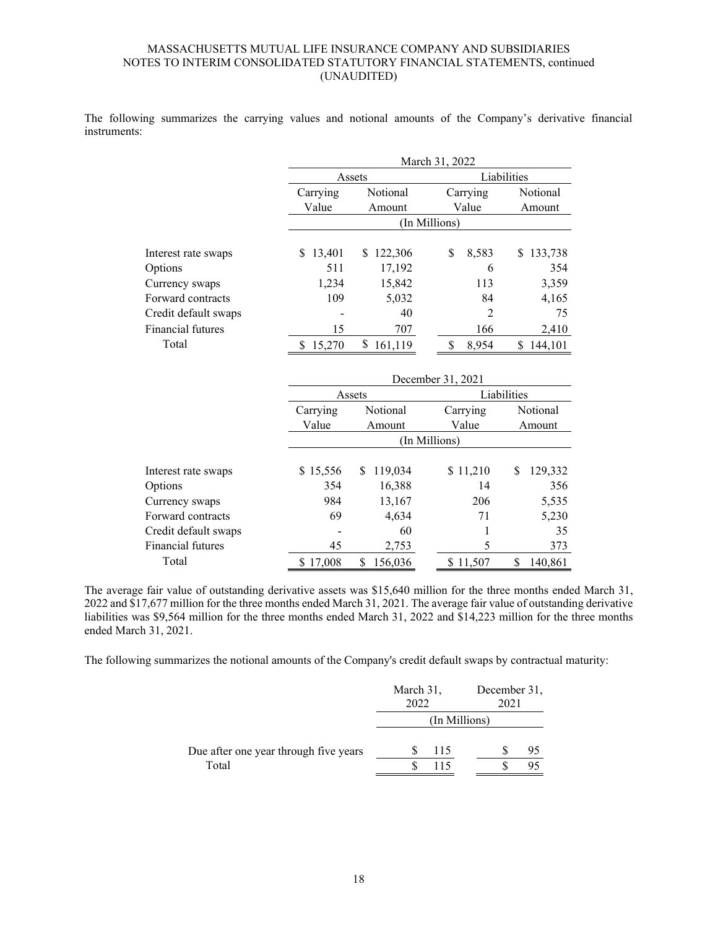The following summarizes the carrying values and notional amounts of the Company's derivative financial instruments:

|                      |             |               | March 31, 2022 |               |  |  |  |  |
|----------------------|-------------|---------------|----------------|---------------|--|--|--|--|
|                      |             | Assets        |                | Liabilities   |  |  |  |  |
|                      | Carrying    | Notional      | Carrying       | Notional      |  |  |  |  |
|                      | Value       | Amount        | Value          | Amount        |  |  |  |  |
|                      |             |               | (In Millions)  |               |  |  |  |  |
| Interest rate swaps  | 13,401<br>S | 122,306<br>S  | \$<br>8,583    | 133,738<br>\$ |  |  |  |  |
| Options              | 511         | 17,192        | 6              | 354           |  |  |  |  |
| Currency swaps       | 1,234       | 15,842        | 113            | 3,359         |  |  |  |  |
| Forward contracts    | 109         | 5,032         | 84             | 4,165         |  |  |  |  |
| Credit default swaps |             | 40            | 2              | 75            |  |  |  |  |
| Financial futures    | 15          | 707           | 166            | 2,410         |  |  |  |  |
| Total                | 15,270<br>S | \$<br>161.119 | 8,954<br>S     | 144.101<br>S  |  |  |  |  |

|                      | December 31, 2021 |               |          |               |  |  |  |  |  |
|----------------------|-------------------|---------------|----------|---------------|--|--|--|--|--|
|                      |                   | Assets        |          | Liabilities   |  |  |  |  |  |
|                      | Carrying          | Notional      | Carrying | Notional      |  |  |  |  |  |
|                      | Value<br>Amount   |               | Value    | Amount        |  |  |  |  |  |
|                      |                   | (In Millions) |          |               |  |  |  |  |  |
| Interest rate swaps  | \$15,556          | 119,034<br>S  | \$11,210 | 129,332<br>\$ |  |  |  |  |  |
| Options              | 354               | 16,388        | 14       | 356           |  |  |  |  |  |
| Currency swaps       | 984               | 13,167        | 206      | 5,535         |  |  |  |  |  |
| Forward contracts    | 69                | 4,634         | 71       | 5,230         |  |  |  |  |  |
| Credit default swaps |                   | 60            |          | 35            |  |  |  |  |  |
| Financial futures    | 45                | 2,753         | 5        | 373           |  |  |  |  |  |
| Total                | \$17,008          | 156,036<br>\$ | \$11,507 | S<br>140.861  |  |  |  |  |  |

The average fair value of outstanding derivative assets was \$15,640 million for the three months ended March 31, 2022 and \$17,677 million for the three months ended March 31, 2021. The average fair value of outstanding derivative liabilities was \$9,564 million for the three months ended March 31, 2022 and \$14,223 million for the three months ended March 31, 2021.

The following summarizes the notional amounts of the Company's credit default swaps by contractual maturity:

|                                       | March 31,<br>2022 | December 31,<br>2021 |
|---------------------------------------|-------------------|----------------------|
|                                       |                   | (In Millions)        |
| Due after one year through five years | 115               | 95                   |
| Total                                 | 115               |                      |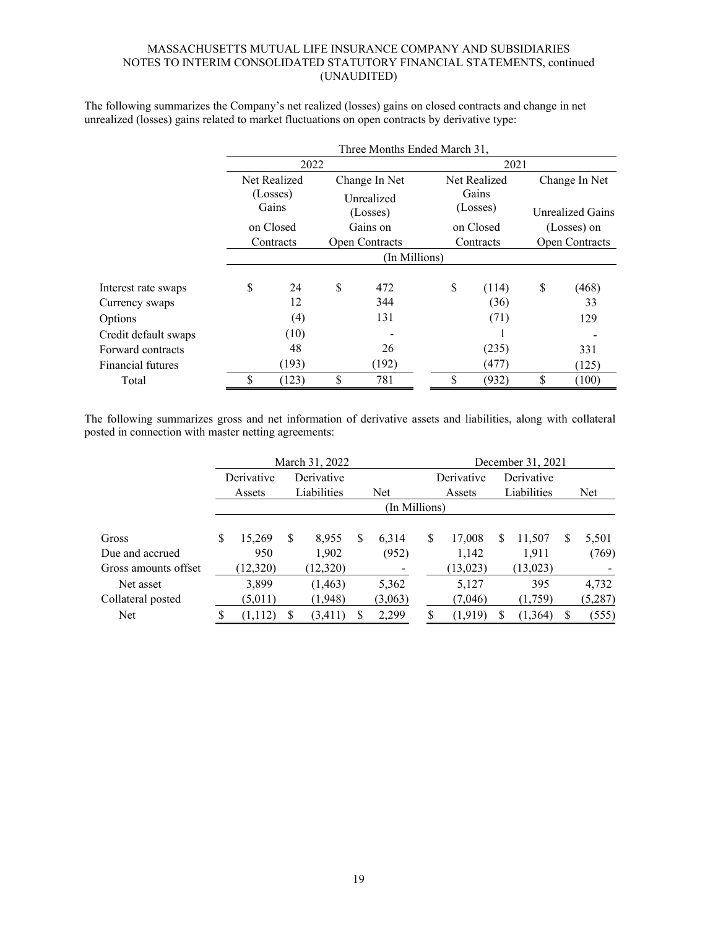|                      |                        |                   |   | Three Months Ended March 31, |                   |               |                                                                    |  |  |  |  |  |
|----------------------|------------------------|-------------------|---|------------------------------|-------------------|---------------|--------------------------------------------------------------------|--|--|--|--|--|
|                      |                        | 2022              |   |                              | 2021              |               |                                                                    |  |  |  |  |  |
|                      |                        | Net Realized      |   | Change In Net                | Net Realized      | Change In Net |                                                                    |  |  |  |  |  |
|                      |                        | (Losses)<br>Gains |   | Unrealized<br>(Losses)       | Gains<br>(Losses) |               |                                                                    |  |  |  |  |  |
|                      | on Closed<br>Contracts |                   |   | Gains on                     | on Closed         |               |                                                                    |  |  |  |  |  |
|                      |                        |                   |   | <b>Open Contracts</b>        | Contracts         |               | <b>Open Contracts</b>                                              |  |  |  |  |  |
|                      |                        |                   |   | (In Millions)                |                   |               | Unrealized Gains<br>(Losses) on<br>\$<br>(468)<br>33<br>129<br>331 |  |  |  |  |  |
| Interest rate swaps  | \$                     | 24                | S | 472                          | \$<br>(114)       |               |                                                                    |  |  |  |  |  |
| Currency swaps       |                        | 12                |   | 344                          | (36)              |               |                                                                    |  |  |  |  |  |
| Options              |                        | (4)               |   | 131                          | (71)              |               |                                                                    |  |  |  |  |  |
| Credit default swaps |                        | (10)              |   |                              |                   |               |                                                                    |  |  |  |  |  |
| Forward contracts    |                        | 48                |   | 26                           | (235)             |               |                                                                    |  |  |  |  |  |
| Financial futures    |                        | (193)             |   | (192)                        | (477)             |               | (125)                                                              |  |  |  |  |  |
| Total                | \$                     | (123)             | S | 781                          | \$<br>(932)       | \$            | (100)                                                              |  |  |  |  |  |

The following summarizes the Company's net realized (losses) gains on closed contracts and change in net unrealized (losses) gains related to market fluctuations on open contracts by derivative type:

The following summarizes gross and net information of derivative assets and liabilities, along with collateral posted in connection with master netting agreements:

|                      | March 31, 2022           |          |             |          |   |         |  | December 31, 2021 |          |             |           |   |         |
|----------------------|--------------------------|----------|-------------|----------|---|---------|--|-------------------|----------|-------------|-----------|---|---------|
|                      | Derivative<br>Derivative |          |             |          |   |         |  | Derivative        |          | Derivative  |           |   |         |
|                      | Assets                   |          | Liabilities |          |   | Net     |  | Assets            |          | Liabilities |           |   | Net     |
|                      | (In Millions)            |          |             |          |   |         |  |                   |          |             |           |   |         |
| Gross                | S                        | 15.269   | S           | 8,955    | S | 6.314   |  | S                 | 17,008   | S           | 11,507    | S | 5,501   |
| Due and accrued      |                          | 950      |             | 1,902    |   | (952)   |  |                   | 1,142    |             | 1,911     |   | (769)   |
| Gross amounts offset |                          | (12,320) |             | (12,320) |   |         |  |                   | (13,023) |             | (13, 023) |   |         |
| Net asset            |                          | 3,899    |             | (1,463)  |   | 5,362   |  |                   | 5,127    |             | 395       |   | 4,732   |
| Collateral posted    |                          | (5,011)  |             | (1,948)  |   | (3,063) |  |                   | (7,046)  |             | (1,759)   |   | (5,287) |
| <b>Net</b>           |                          | (1,112)  |             | (3, 411) |   | 2,299   |  |                   | (1, 919) | \$.         | (1, 364)  | S | (555)   |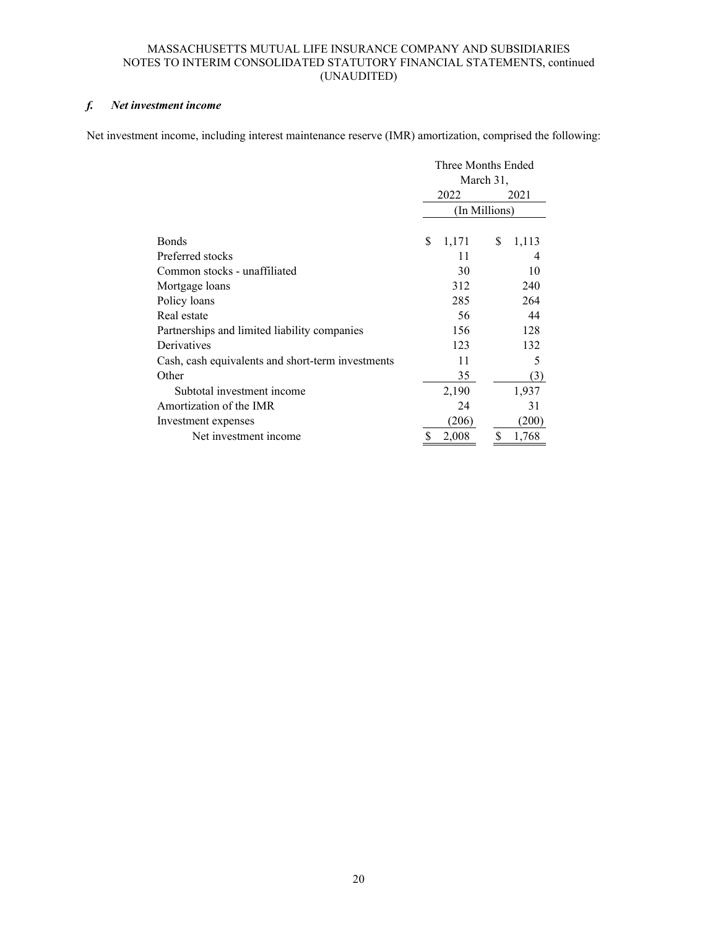# *f. Net investment income*

Net investment income, including interest maintenance reserve (IMR) amortization, comprised the following:

|                                                   | Three Months Ended |       |    |       |  |  |
|---------------------------------------------------|--------------------|-------|----|-------|--|--|
|                                                   | March 31,          |       |    |       |  |  |
|                                                   |                    | 2022  |    | 2021  |  |  |
|                                                   | (In Millions)      |       |    |       |  |  |
|                                                   |                    |       |    |       |  |  |
| <b>Bonds</b>                                      | \$                 | 1,171 | \$ | 1,113 |  |  |
| Preferred stocks                                  |                    | 11    |    |       |  |  |
| Common stocks - unaffiliated                      |                    | 30    |    | 10    |  |  |
| Mortgage loans                                    |                    | 312   |    | 240   |  |  |
| Policy loans                                      |                    | 285   |    | 264   |  |  |
| Real estate                                       |                    | 56    |    | 44    |  |  |
| Partnerships and limited liability companies      |                    | 156   |    | 128   |  |  |
| Derivatives                                       |                    | 123   |    | 132   |  |  |
| Cash, cash equivalents and short-term investments |                    | 11    |    | 5     |  |  |
| Other                                             |                    | 35    |    | (3)   |  |  |
| Subtotal investment income                        |                    | 2,190 |    | 1,937 |  |  |
| Amortization of the IMR                           |                    | 24    |    | 31    |  |  |
| Investment expenses                               |                    | (206) |    | (200) |  |  |
| Net investment income                             | \$                 | 2,008 | \$ | 1,768 |  |  |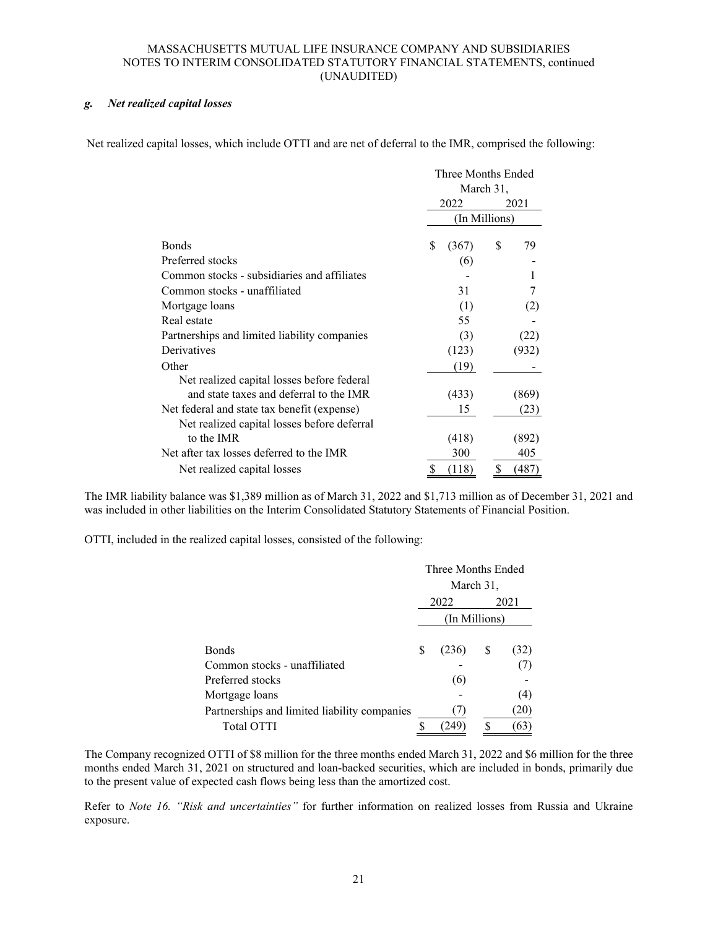### *g. Net realized capital losses*

Net realized capital losses, which include OTTI and are net of deferral to the IMR, comprised the following:

|                                              | Three Months Ended |           |       |  |
|----------------------------------------------|--------------------|-----------|-------|--|
|                                              |                    | March 31, |       |  |
|                                              | 2022               |           | 2021  |  |
|                                              | (In Millions)      |           |       |  |
| <b>Bonds</b>                                 | \$<br>(367)        | \$        | 79    |  |
| Preferred stocks                             | (6)                |           |       |  |
| Common stocks - subsidiaries and affiliates  |                    |           |       |  |
| Common stocks - unaffiliated                 | 31                 |           |       |  |
| Mortgage loans                               | (1)                |           | (2)   |  |
| Real estate                                  | 55                 |           |       |  |
| Partnerships and limited liability companies | (3)                |           | (22)  |  |
| Derivatives                                  | (123)              |           | (932) |  |
| Other                                        | (19)               |           |       |  |
| Net realized capital losses before federal   |                    |           |       |  |
| and state taxes and deferral to the IMR      | (433)              |           | (869) |  |
| Net federal and state tax benefit (expense)  | 15                 |           | (23)  |  |
| Net realized capital losses before deferral  |                    |           |       |  |
| to the IMR                                   | (418)              |           | (892) |  |
| Net after tax losses deferred to the IMR     | 300                |           | 405   |  |
| Net realized capital losses                  | (118)              |           | (487) |  |

The IMR liability balance was \$1,389 million as of March 31, 2022 and \$1,713 million as of December 31, 2021 and was included in other liabilities on the Interim Consolidated Statutory Statements of Financial Position.

OTTI, included in the realized capital losses, consisted of the following:

|                                              |      | Three Months Ended |   |      |  |  |  |
|----------------------------------------------|------|--------------------|---|------|--|--|--|
|                                              |      | March 31,          |   |      |  |  |  |
|                                              | 2022 | 2021               |   |      |  |  |  |
|                                              |      | (In Millions)      |   |      |  |  |  |
|                                              |      |                    |   |      |  |  |  |
| <b>Bonds</b>                                 | S    | (236)              | S | (32) |  |  |  |
| Common stocks - unaffiliated                 |      |                    |   |      |  |  |  |
| Preferred stocks                             |      | (6)                |   |      |  |  |  |
| Mortgage loans                               |      |                    |   | (4)  |  |  |  |
| Partnerships and limited liability companies |      |                    |   | 20   |  |  |  |
| <b>Total OTTI</b>                            |      | 249                |   | 63   |  |  |  |

The Company recognized OTTI of \$8 million for the three months ended March 31, 2022 and \$6 million for the three months ended March 31, 2021 on structured and loan-backed securities, which are included in bonds, primarily due to the present value of expected cash flows being less than the amortized cost.

Refer to *Note 16. "Risk and uncertainties"* for further information on realized losses from Russia and Ukraine exposure.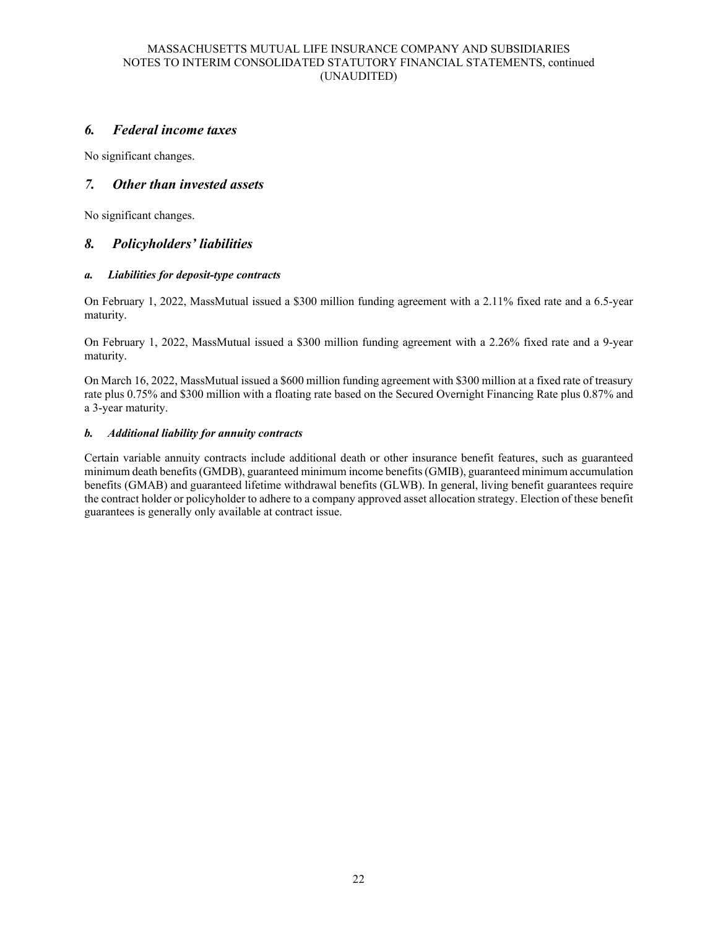# *6. Federal income taxes*

No significant changes.

# *7. Other than invested assets*

No significant changes.

# *8. Policyholders' liabilities*

### *a. Liabilities for deposit-type contracts*

On February 1, 2022, MassMutual issued a \$300 million funding agreement with a 2.11% fixed rate and a 6.5-year maturity.

On February 1, 2022, MassMutual issued a \$300 million funding agreement with a 2.26% fixed rate and a 9-year maturity.

On March 16, 2022, MassMutual issued a \$600 million funding agreement with \$300 million at a fixed rate of treasury rate plus 0.75% and \$300 million with a floating rate based on the Secured Overnight Financing Rate plus 0.87% and a 3-year maturity.

### *b. Additional liability for annuity contracts*

Certain variable annuity contracts include additional death or other insurance benefit features, such as guaranteed minimum death benefits (GMDB), guaranteed minimum income benefits (GMIB), guaranteed minimum accumulation benefits (GMAB) and guaranteed lifetime withdrawal benefits (GLWB). In general, living benefit guarantees require the contract holder or policyholder to adhere to a company approved asset allocation strategy. Election of these benefit guarantees is generally only available at contract issue.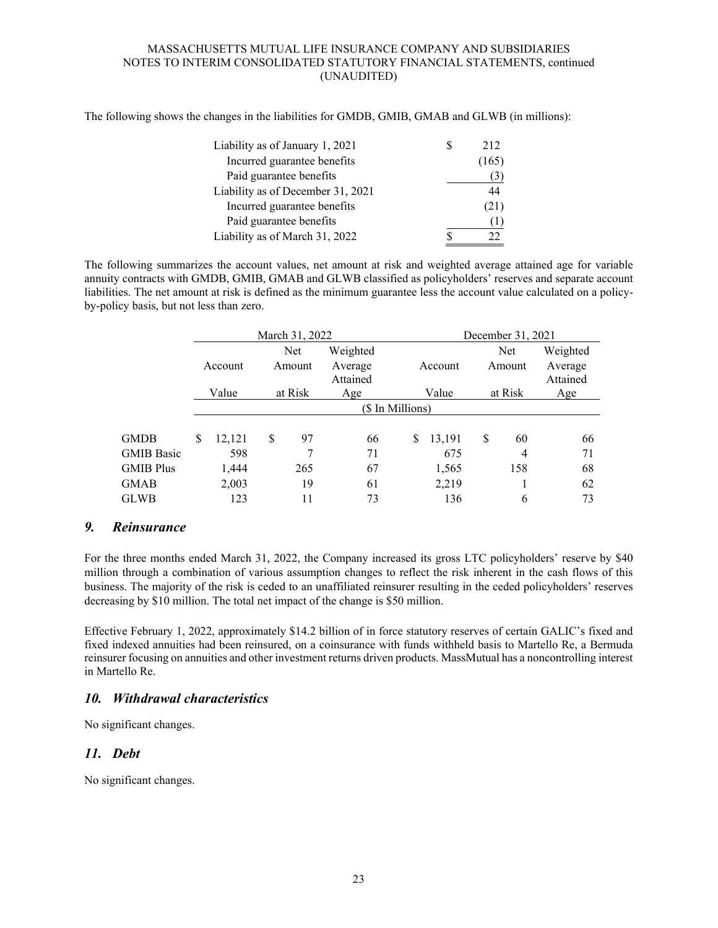The following shows the changes in the liabilities for GMDB, GMIB, GMAB and GLWB (in millions):

| Liability as of January 1, 2021   | 212   |
|-----------------------------------|-------|
| Incurred guarantee benefits       | (165) |
| Paid guarantee benefits           | (3)   |
| Liability as of December 31, 2021 | 44    |
| Incurred guarantee benefits       | (21)  |
| Paid guarantee benefits           |       |
| Liability as of March 31, 2022    |       |

The following summarizes the account values, net amount at risk and weighted average attained age for variable annuity contracts with GMDB, GMIB, GMAB and GLWB classified as policyholders' reserves and separate account liabilities. The net amount at risk is defined as the minimum guarantee less the account value calculated on a policyby-policy basis, but not less than zero.

|                   |                  |                   |         | March 31, 2022 |                     |       | December 31, 2021 |         |        |                     |  |  |
|-------------------|------------------|-------------------|---------|----------------|---------------------|-------|-------------------|---------|--------|---------------------|--|--|
|                   |                  |                   |         | Net            | Weighted            |       |                   |         | Net    | Weighted            |  |  |
|                   |                  | Account<br>Amount |         |                | Average<br>Attained |       | Account           |         | Amount | Average<br>Attained |  |  |
|                   |                  | Value             | at Risk |                | Age                 | Value |                   | at Risk |        | Age                 |  |  |
|                   | (\$ In Millions) |                   |         |                |                     |       |                   |         |        |                     |  |  |
|                   |                  |                   |         |                |                     |       |                   |         |        |                     |  |  |
| <b>GMDB</b>       | \$               | 12,121            | S       | 97             | 66                  | S     | 13,191            | \$      | 60     | 66                  |  |  |
| <b>GMIB Basic</b> |                  | 598               |         | 7              | 71                  |       | 675               |         | 4      | 71                  |  |  |
| <b>GMIB Plus</b>  |                  | 1,444             |         | 265            | 67                  |       | 1,565             |         | 158    | 68                  |  |  |
| <b>GMAB</b>       |                  | 2,003             |         | 19             | 61                  |       | 2,219             |         |        | 62                  |  |  |
| <b>GLWB</b>       |                  | 123               |         | 11             | 73                  |       | 136               |         | 6      | 73                  |  |  |

# *9. Reinsurance*

For the three months ended March 31, 2022, the Company increased its gross LTC policyholders' reserve by \$40 million through a combination of various assumption changes to reflect the risk inherent in the cash flows of this business. The majority of the risk is ceded to an unaffiliated reinsurer resulting in the ceded policyholders' reserves decreasing by \$10 million. The total net impact of the change is \$50 million.

Effective February 1, 2022, approximately \$14.2 billion of in force statutory reserves of certain GALIC's fixed and fixed indexed annuities had been reinsured, on a coinsurance with funds withheld basis to Martello Re, a Bermuda reinsurer focusing on annuities and other investment returns driven products. MassMutual has a noncontrolling interest in Martello Re.

# *10. Withdrawal characteristics*

No significant changes.

# *11. Debt*

No significant changes.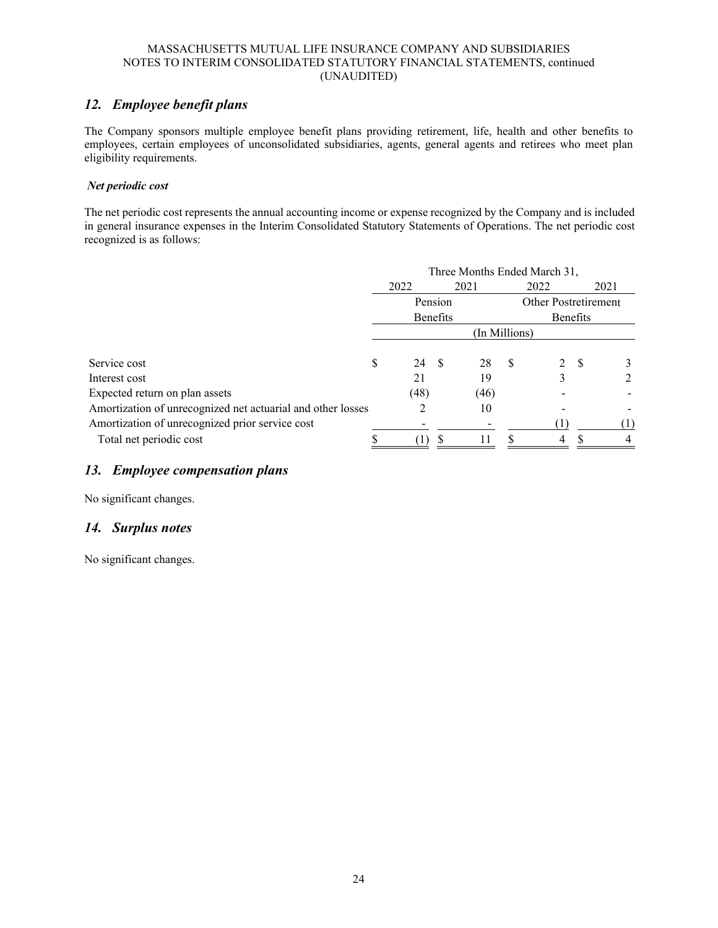# *12. Employee benefit plans*

The Company sponsors multiple employee benefit plans providing retirement, life, health and other benefits to employees, certain employees of unconsolidated subsidiaries, agents, general agents and retirees who meet plan eligibility requirements.

# *Net periodic cost*

The net periodic cost represents the annual accounting income or expense recognized by the Company and is included in general insurance expenses in the Interim Consolidated Statutory Statements of Operations. The net periodic cost recognized is as follows:

|                                                             | Three Months Ended March 31, |                     |      |      |              |                                  |  |      |
|-------------------------------------------------------------|------------------------------|---------------------|------|------|--------------|----------------------------------|--|------|
|                                                             |                              | 2022                | 2021 |      | 2022         |                                  |  | 2021 |
|                                                             |                              | Pension<br>Benefits |      |      |              | Other Postretirement<br>Benefits |  |      |
|                                                             |                              |                     |      |      |              |                                  |  |      |
|                                                             |                              | (In Millions)       |      |      |              |                                  |  |      |
| Service cost                                                | S                            | 24 S                |      | 28   | <sup>S</sup> | 2 S                              |  |      |
| Interest cost                                               |                              | 21                  |      | 19   |              |                                  |  |      |
| Expected return on plan assets                              |                              | (48)                |      | (46) |              |                                  |  |      |
| Amortization of unrecognized net actuarial and other losses |                              |                     |      | 10   |              |                                  |  |      |
| Amortization of unrecognized prior service cost             |                              |                     |      |      |              |                                  |  |      |
| Total net periodic cost                                     |                              |                     |      |      |              | 4                                |  |      |

# *13. Employee compensation plans*

No significant changes.

# *14. Surplus notes*

No significant changes.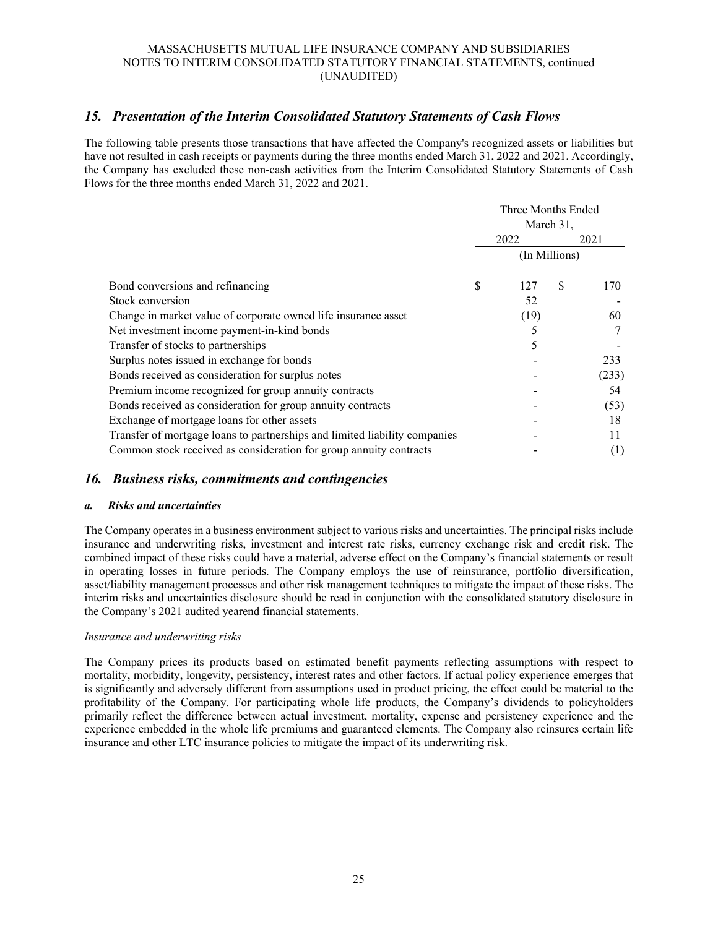# *15. Presentation of the Interim Consolidated Statutory Statements of Cash Flows*

The following table presents those transactions that have affected the Company's recognized assets or liabilities but have not resulted in cash receipts or payments during the three months ended March 31, 2022 and 2021. Accordingly, the Company has excluded these non-cash activities from the Interim Consolidated Statutory Statements of Cash Flows for the three months ended March 31, 2022 and 2021.

|                                                                            | Three Months Ended |      |   |       |
|----------------------------------------------------------------------------|--------------------|------|---|-------|
|                                                                            | March 31,          |      |   |       |
|                                                                            | 2022<br>2021       |      |   |       |
|                                                                            | (In Millions)      |      |   |       |
| Bond conversions and refinancing                                           | \$                 | 127  | S | 170   |
| Stock conversion                                                           |                    | 52   |   |       |
| Change in market value of corporate owned life insurance asset             |                    | (19) |   | 60    |
| Net investment income payment-in-kind bonds                                |                    |      |   |       |
| Transfer of stocks to partnerships                                         |                    | 5    |   |       |
| Surplus notes issued in exchange for bonds                                 |                    |      |   | 233   |
| Bonds received as consideration for surplus notes                          |                    |      |   | (233) |
| Premium income recognized for group annuity contracts                      |                    |      |   | 54    |
| Bonds received as consideration for group annuity contracts                |                    |      |   | (53)  |
| Exchange of mortgage loans for other assets                                |                    |      |   | 18    |
| Transfer of mortgage loans to partnerships and limited liability companies |                    |      |   | 11    |
| Common stock received as consideration for group annuity contracts         |                    |      |   | (1)   |

# *16. Business risks, commitments and contingencies*

#### *a. Risks and uncertainties*

The Company operates in a business environment subject to various risks and uncertainties. The principal risks include insurance and underwriting risks, investment and interest rate risks, currency exchange risk and credit risk. The combined impact of these risks could have a material, adverse effect on the Company's financial statements or result in operating losses in future periods. The Company employs the use of reinsurance, portfolio diversification, asset/liability management processes and other risk management techniques to mitigate the impact of these risks. The interim risks and uncertainties disclosure should be read in conjunction with the consolidated statutory disclosure in the Company's 2021 audited yearend financial statements.

#### *Insurance and underwriting risks*

The Company prices its products based on estimated benefit payments reflecting assumptions with respect to mortality, morbidity, longevity, persistency, interest rates and other factors. If actual policy experience emerges that is significantly and adversely different from assumptions used in product pricing, the effect could be material to the profitability of the Company. For participating whole life products, the Company's dividends to policyholders primarily reflect the difference between actual investment, mortality, expense and persistency experience and the experience embedded in the whole life premiums and guaranteed elements. The Company also reinsures certain life insurance and other LTC insurance policies to mitigate the impact of its underwriting risk.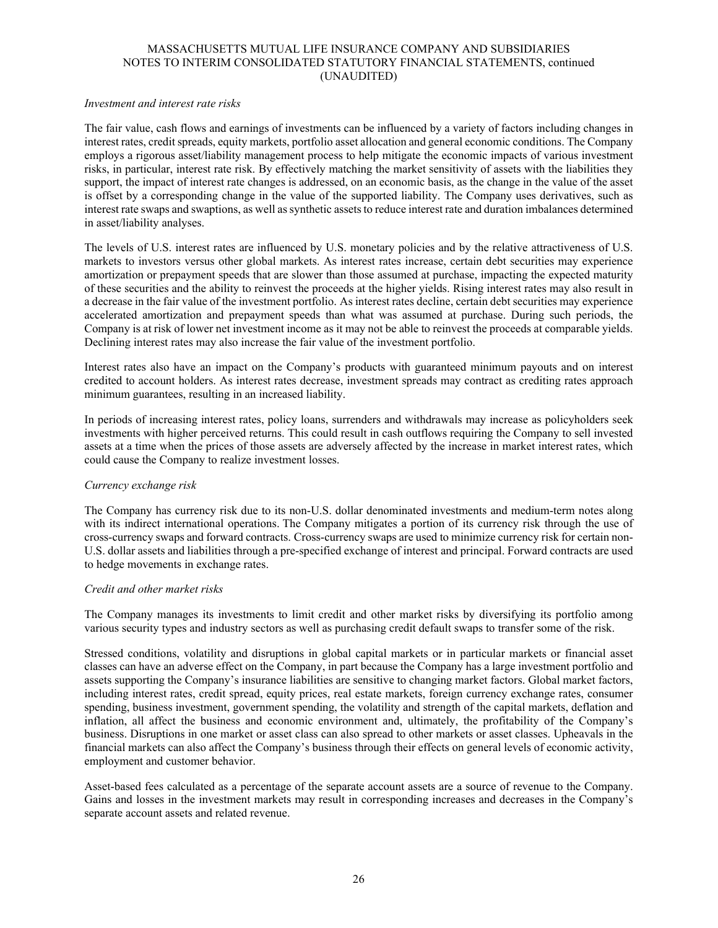#### *Investment and interest rate risks*

The fair value, cash flows and earnings of investments can be influenced by a variety of factors including changes in interest rates, credit spreads, equity markets, portfolio asset allocation and general economic conditions. The Company employs a rigorous asset/liability management process to help mitigate the economic impacts of various investment risks, in particular, interest rate risk. By effectively matching the market sensitivity of assets with the liabilities they support, the impact of interest rate changes is addressed, on an economic basis, as the change in the value of the asset is offset by a corresponding change in the value of the supported liability. The Company uses derivatives, such as interest rate swaps and swaptions, as well as synthetic assets to reduce interest rate and duration imbalances determined in asset/liability analyses.

The levels of U.S. interest rates are influenced by U.S. monetary policies and by the relative attractiveness of U.S. markets to investors versus other global markets. As interest rates increase, certain debt securities may experience amortization or prepayment speeds that are slower than those assumed at purchase, impacting the expected maturity of these securities and the ability to reinvest the proceeds at the higher yields. Rising interest rates may also result in a decrease in the fair value of the investment portfolio. As interest rates decline, certain debt securities may experience accelerated amortization and prepayment speeds than what was assumed at purchase. During such periods, the Company is at risk of lower net investment income as it may not be able to reinvest the proceeds at comparable yields. Declining interest rates may also increase the fair value of the investment portfolio.

Interest rates also have an impact on the Company's products with guaranteed minimum payouts and on interest credited to account holders. As interest rates decrease, investment spreads may contract as crediting rates approach minimum guarantees, resulting in an increased liability.

In periods of increasing interest rates, policy loans, surrenders and withdrawals may increase as policyholders seek investments with higher perceived returns. This could result in cash outflows requiring the Company to sell invested assets at a time when the prices of those assets are adversely affected by the increase in market interest rates, which could cause the Company to realize investment losses.

### *Currency exchange risk*

The Company has currency risk due to its non-U.S. dollar denominated investments and medium-term notes along with its indirect international operations. The Company mitigates a portion of its currency risk through the use of cross-currency swaps and forward contracts. Cross-currency swaps are used to minimize currency risk for certain non-U.S. dollar assets and liabilities through a pre-specified exchange of interest and principal. Forward contracts are used to hedge movements in exchange rates.

### *Credit and other market risks*

The Company manages its investments to limit credit and other market risks by diversifying its portfolio among various security types and industry sectors as well as purchasing credit default swaps to transfer some of the risk.

Stressed conditions, volatility and disruptions in global capital markets or in particular markets or financial asset classes can have an adverse effect on the Company, in part because the Company has a large investment portfolio and assets supporting the Company's insurance liabilities are sensitive to changing market factors. Global market factors, including interest rates, credit spread, equity prices, real estate markets, foreign currency exchange rates, consumer spending, business investment, government spending, the volatility and strength of the capital markets, deflation and inflation, all affect the business and economic environment and, ultimately, the profitability of the Company's business. Disruptions in one market or asset class can also spread to other markets or asset classes. Upheavals in the financial markets can also affect the Company's business through their effects on general levels of economic activity, employment and customer behavior.

Asset-based fees calculated as a percentage of the separate account assets are a source of revenue to the Company. Gains and losses in the investment markets may result in corresponding increases and decreases in the Company's separate account assets and related revenue.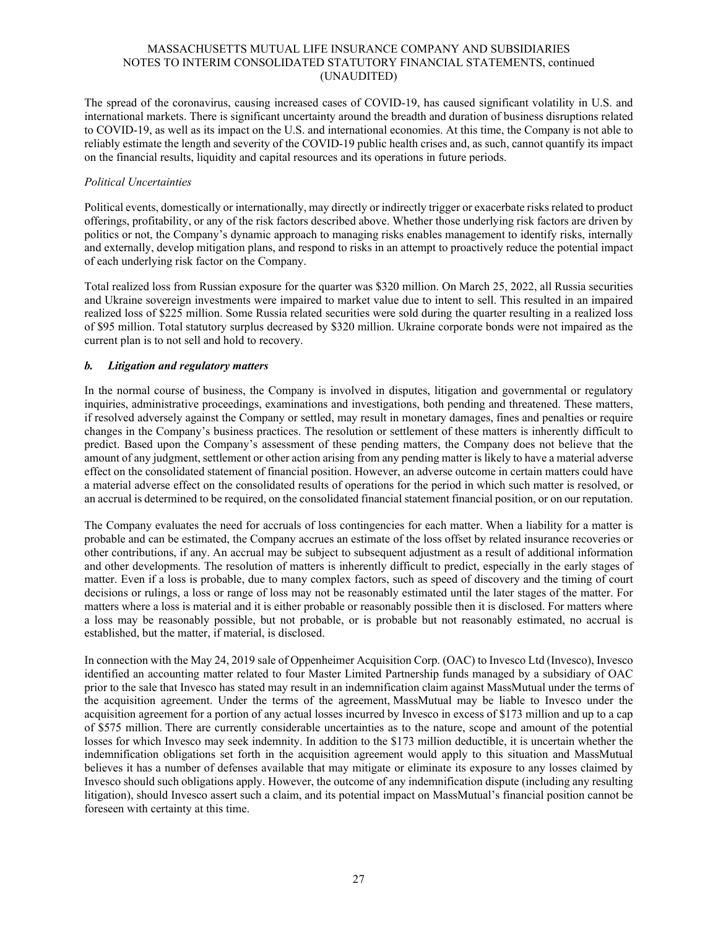The spread of the coronavirus, causing increased cases of COVID-19, has caused significant volatility in U.S. and international markets. There is significant uncertainty around the breadth and duration of business disruptions related to COVID-19, as well as its impact on the U.S. and international economies. At this time, the Company is not able to reliably estimate the length and severity of the COVID-19 public health crises and, as such, cannot quantify its impact on the financial results, liquidity and capital resources and its operations in future periods.

### *Political Uncertainties*

Political events, domestically or internationally, may directly or indirectly trigger or exacerbate risks related to product offerings, profitability, or any of the risk factors described above. Whether those underlying risk factors are driven by politics or not, the Company's dynamic approach to managing risks enables management to identify risks, internally and externally, develop mitigation plans, and respond to risks in an attempt to proactively reduce the potential impact of each underlying risk factor on the Company.

Total realized loss from Russian exposure for the quarter was \$320 million. On March 25, 2022, all Russia securities and Ukraine sovereign investments were impaired to market value due to intent to sell. This resulted in an impaired realized loss of \$225 million. Some Russia related securities were sold during the quarter resulting in a realized loss of \$95 million. Total statutory surplus decreased by \$320 million. Ukraine corporate bonds were not impaired as the current plan is to not sell and hold to recovery.

# *b. Litigation and regulatory matters*

In the normal course of business, the Company is involved in disputes, litigation and governmental or regulatory inquiries, administrative proceedings, examinations and investigations, both pending and threatened. These matters, if resolved adversely against the Company or settled, may result in monetary damages, fines and penalties or require changes in the Company's business practices. The resolution or settlement of these matters is inherently difficult to predict. Based upon the Company's assessment of these pending matters, the Company does not believe that the amount of any judgment, settlement or other action arising from any pending matter is likely to have a material adverse effect on the consolidated statement of financial position. However, an adverse outcome in certain matters could have a material adverse effect on the consolidated results of operations for the period in which such matter is resolved, or an accrual is determined to be required, on the consolidated financial statement financial position, or on our reputation.

The Company evaluates the need for accruals of loss contingencies for each matter. When a liability for a matter is probable and can be estimated, the Company accrues an estimate of the loss offset by related insurance recoveries or other contributions, if any. An accrual may be subject to subsequent adjustment as a result of additional information and other developments. The resolution of matters is inherently difficult to predict, especially in the early stages of matter. Even if a loss is probable, due to many complex factors, such as speed of discovery and the timing of court decisions or rulings, a loss or range of loss may not be reasonably estimated until the later stages of the matter. For matters where a loss is material and it is either probable or reasonably possible then it is disclosed. For matters where a loss may be reasonably possible, but not probable, or is probable but not reasonably estimated, no accrual is established, but the matter, if material, is disclosed.

In connection with the May 24, 2019 sale of Oppenheimer Acquisition Corp. (OAC) to Invesco Ltd (Invesco), Invesco identified an accounting matter related to four Master Limited Partnership funds managed by a subsidiary of OAC prior to the sale that Invesco has stated may result in an indemnification claim against MassMutual under the terms of the acquisition agreement. Under the terms of the agreement, MassMutual may be liable to Invesco under the acquisition agreement for a portion of any actual losses incurred by Invesco in excess of \$173 million and up to a cap of \$575 million. There are currently considerable uncertainties as to the nature, scope and amount of the potential losses for which Invesco may seek indemnity. In addition to the \$173 million deductible, it is uncertain whether the indemnification obligations set forth in the acquisition agreement would apply to this situation and MassMutual believes it has a number of defenses available that may mitigate or eliminate its exposure to any losses claimed by Invesco should such obligations apply. However, the outcome of any indemnification dispute (including any resulting litigation), should Invesco assert such a claim, and its potential impact on MassMutual's financial position cannot be foreseen with certainty at this time.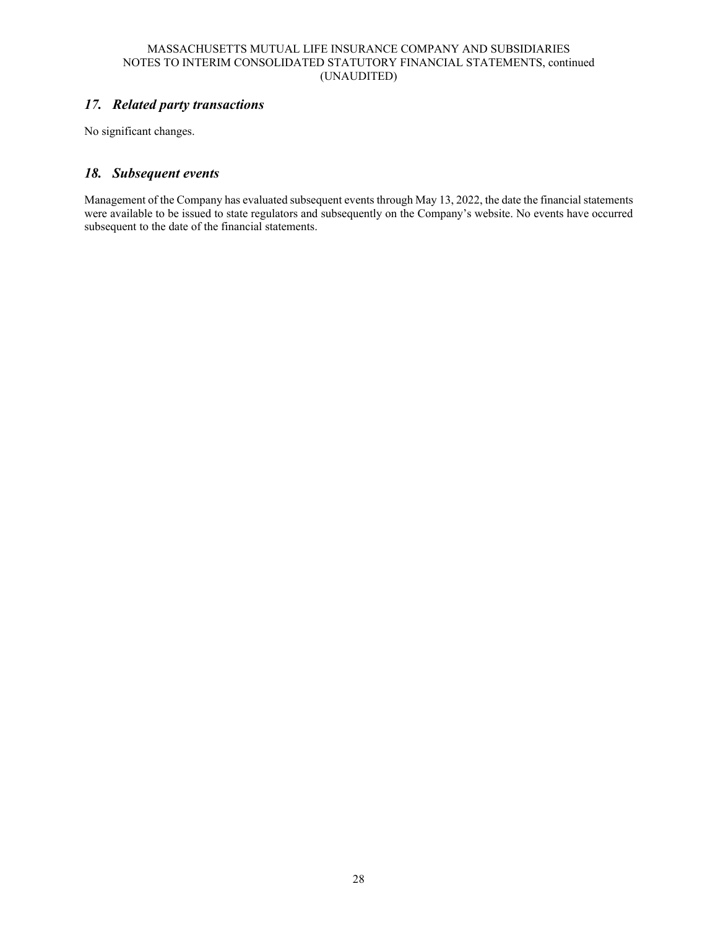# *17. Related party transactions*

No significant changes.

# *18. Subsequent events*

Management of the Company has evaluated subsequent events through May 13, 2022, the date the financial statements were available to be issued to state regulators and subsequently on the Company's website. No events have occurred subsequent to the date of the financial statements.